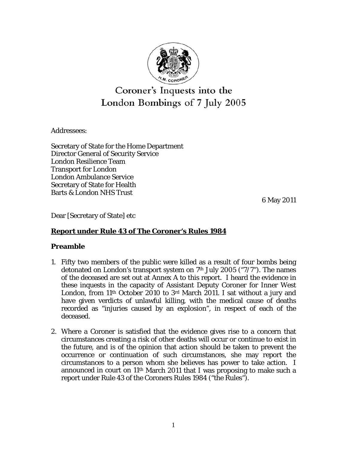

# Coroner's Inquests into the London Bombings of 7 July 2005

Addressees:

Secretary of State for the Home Department Director General of Security Service London Resilience Team Transport for London London Ambulance Service Secretary of State for Health Barts & London NHS Trust

6 May 2011

Dear [Secretary of State] etc

### **Report under Rule 43 of The Coroner's Rules 1984**

### **Preamble**

- 1. Fifty two members of the public were killed as a result of four bombs being detonated on London's transport system on 7th July 2005 ("7/7"). The names of the deceased are set out at Annex A to this report. I heard the evidence in these inquests in the capacity of Assistant Deputy Coroner for Inner West London, from 11th October 2010 to 3rd March 2011. I sat without a jury and have given verdicts of unlawful killing, with the medical cause of deaths recorded as "injuries caused by an explosion", in respect of each of the deceased.
- 2. Where a Coroner is satisfied that the evidence gives rise to a concern that circumstances creating a risk of other deaths will occur or continue to exist in the future, and is of the opinion that action should be taken to prevent the occurrence or continuation of such circumstances, she may report the circumstances to a person whom she believes has power to take action. I announced in court on 11th March 2011 that I was proposing to make such a report under Rule 43 of the Coroners Rules 1984 ("the Rules").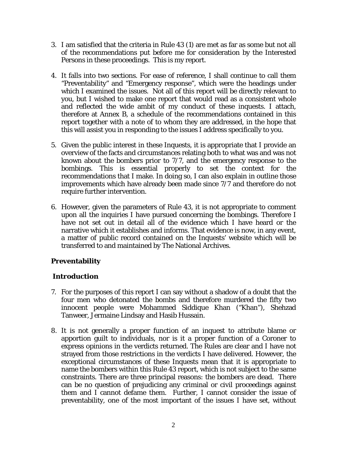- 3. I am satisfied that the criteria in Rule 43 (1) are met as far as some but not all of the recommendations put before me for consideration by the Interested Persons in these proceedings. This is my report.
- 4. It falls into two sections. For ease of reference, I shall continue to call them "Preventability" and "Emergency response", which were the headings under which I examined the issues. Not all of this report will be directly relevant to you, but I wished to make one report that would read as a consistent whole and reflected the wide ambit of my conduct of these inquests. I attach, therefore at Annex B, a schedule of the recommendations contained in this report together with a note of to whom they are addressed, in the hope that this will assist you in responding to the issues I address specifically to you.
- 5. Given the public interest in these Inquests, it is appropriate that I provide an overview of the facts and circumstances relating both to what was and was not known about the bombers prior to 7/7, and the emergency response to the bombings. This is essential properly to set the context for the recommendations that I make. In doing so, I can also explain in outline those improvements which have already been made since 7/7 and therefore do not require further intervention.
- 6. However, given the parameters of Rule 43, it is not appropriate to comment upon all the inquiries I have pursued concerning the bombings. Therefore I have not set out in detail all of the evidence which I have heard or the narrative which it establishes and informs. That evidence is now, in any event, a matter of public record contained on the Inquests' website which will be transferred to and maintained by The National Archives.

### **Preventability**

### *Introduction*

- 7. For the purposes of this report I can say without a shadow of a doubt that the four men who detonated the bombs and therefore murdered the fifty two innocent people were Mohammed Siddique Khan ("Khan"), Shehzad Tanweer, Jermaine Lindsay and Hasib Hussain.
- 8. It is not generally a proper function of an inquest to attribute blame or apportion guilt to individuals, nor is it a proper function of a Coroner to express opinions in the verdicts returned. The Rules are clear and I have not strayed from those restrictions in the verdicts I have delivered. However, the exceptional circumstances of these Inquests mean that it is appropriate to name the bombers within this Rule 43 report, which is not subject to the same constraints. There are three principal reasons: the bombers are dead. There can be no question of prejudicing any criminal or civil proceedings against them and I cannot defame them. Further, I cannot consider the issue of preventability, one of the most important of the issues I have set, without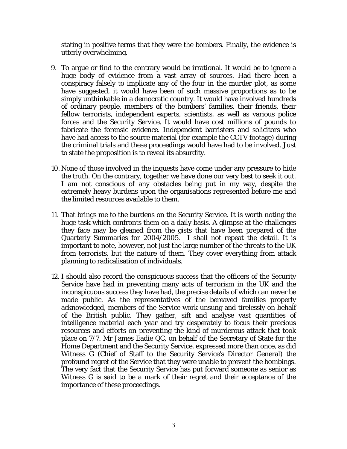stating in positive terms that they were the bombers. Finally, the evidence is utterly overwhelming.

- 9. To argue or find to the contrary would be irrational. It would be to ignore a huge body of evidence from a vast array of sources. Had there been a conspiracy falsely to implicate any of the four in the murder plot, as some have suggested, it would have been of such massive proportions as to be simply unthinkable in a democratic country. It would have involved hundreds of ordinary people, members of the bombers' families, their friends, their fellow terrorists, independent experts, scientists, as well as various police forces and the Security Service. It would have cost millions of pounds to fabricate the forensic evidence. Independent barristers and solicitors who have had access to the source material (for example the CCTV footage) during the criminal trials and these proceedings would have had to be involved. Just to state the proposition is to reveal its absurdity.
- 10. None of those involved in the inquests have come under any pressure to hide the truth. On the contrary, together we have done our very best to seek it out. I am not conscious of any obstacles being put in my way, despite the extremely heavy burdens upon the organisations represented before me and the limited resources available to them.
- 11. That brings me to the burdens on the Security Service. It is worth noting the huge task which confronts them on a daily basis. A glimpse at the challenges they face may be gleaned from the gists that have been prepared of the Quarterly Summaries for 2004/2005. I shall not repeat the detail. It is important to note, however, not just the large number of the threats to the UK from terrorists, but the nature of them. They cover everything from attack planning to radicalisation of individuals.
- 12. I should also record the conspicuous success that the officers of the Security Service have had in preventing many acts of terrorism in the UK and the inconspicuous success they have had, the precise details of which can never be made public. As the representatives of the bereaved families properly acknowledged, members of the Service work unsung and tirelessly on behalf of the British public. They gather, sift and analyse vast quantities of intelligence material each year and try desperately to focus their precious resources and efforts on preventing the kind of murderous attack that took place on 7/7. Mr James Eadie QC, on behalf of the Secretary of State for the Home Department and the Security Service, expressed more than once, as did Witness G (Chief of Staff to the Security Service's Director General) the profound regret of the Service that they were unable to prevent the bombings. The very fact that the Security Service has put forward someone as senior as Witness G is said to be a mark of their regret and their acceptance of the importance of these proceedings.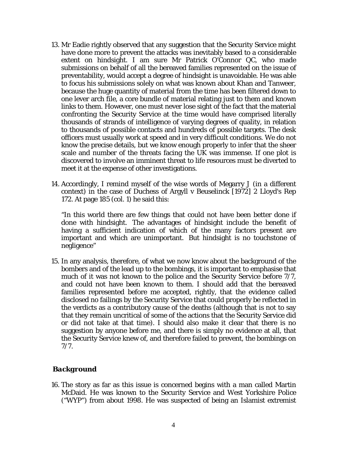- meet it at the expense of other investigations. 13. Mr Eadie rightly observed that any suggestion that the Security Service might have done more to prevent the attacks was inevitably based to a considerable extent on hindsight. I am sure Mr Patrick O'Connor QC, who made submissions on behalf of all the bereaved families represented on the issue of preventability, would accept a degree of hindsight is unavoidable. He was able to focus his submissions solely on what was known about Khan and Tanweer, because the huge quantity of material from the time has been filtered down to one lever arch file, a core bundle of material relating just to them and known links to them. However, one must never lose sight of the fact that the material confronting the Security Service at the time would have comprised literally thousands of strands of intelligence of varying degrees of quality, in relation to thousands of possible contacts and hundreds of possible targets. The desk officers must usually work at speed and in very difficult conditions. We do not know the precise details, but we know enough properly to infer that the sheer scale and number of the threats facing the UK was immense. If one plot is discovered to involve an imminent threat to life resources must be diverted to
- 14. Accordingly, I remind myself of the wise words of Megarry J (in a different context) in the case of Duchess of Argyll v Beuselinck [1972] 2 Lloyd's Rep 172. At page 185 (col. 1) he said this:

"In this world there are few things that could not have been better done if done with hindsight. The advantages of hindsight include the benefit of having a sufficient indication of which of the many factors present are important and which are unimportant. But hindsight is no touchstone of negligence"

15. In any analysis, therefore, of what we now know about the background of the bombers and of the lead up to the bombings, it is important to emphasise that much of it was not known to the police and the Security Service before 7/7, and *could not* have been known to them. I should add that the bereaved families represented before me accepted, rightly, that the evidence called disclosed no failings by the Security Service that could properly be reflected in the verdicts as a contributory cause of the deaths (although that is not to say that they remain uncritical of some of the actions that the Security Service did or did not take at that time). I should also make it clear that there is no suggestion by anyone before me, and there is simply no evidence at all, that the Security Service knew of, and therefore failed to prevent, the bombings on 7/7.

### *Background*

16. The story as far as this issue is concerned begins with a man called Martin McDaid. He was known to the Security Service and West Yorkshire Police ("WYP") from about 1998. He was suspected of being an Islamist extremist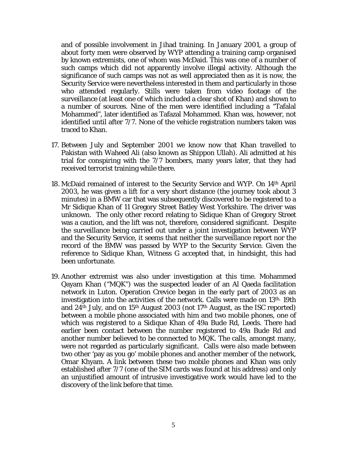and of possible involvement in Jihad training. In January 2001, a group of about forty men were observed by WYP attending a training camp organised by known extremists, one of whom was McDaid. This was one of a number of such camps which did not apparently involve illegal activity. Although the significance of such camps was not as well appreciated then as it is now, the Security Service were nevertheless interested in them and particularly in those who attended regularly. Stills were taken from video footage of the surveillance (at least one of which included a clear shot of Khan) and shown to a number of sources. Nine of the men were identified including a "Tafalal Mohammed", later identified as Tafazal Mohammed. Khan was, however, not identified until after 7/7. None of the vehicle registration numbers taken was traced to Khan.

- 17. Between July and September 2001 we know now that Khan travelled to Pakistan with Waheed Ali (also known as Shippon Ullah). Ali admitted at his trial for conspiring with the 7/7 bombers, many years later, that they had received terrorist training while there.
- 18. McDaid remained of interest to the Security Service and WYP. On 14th April 2003, he was given a lift for a very short distance (the journey took about 3 minutes) in a BMW car that was subsequently discovered to be registered to a Mr Sidique Khan of 11 Gregory Street Batley West Yorkshire. The driver was unknown. The only other record relating to Sidique Khan of Gregory Street was a caution, and the lift was not, therefore, considered significant. Despite the surveillance being carried out under a joint investigation between WYP and the Security Service, it seems that neither the surveillance report nor the record of the BMW was passed by WYP to the Security Service. Given the reference to Sidique Khan, Witness G accepted that, in hindsight, this had been unfortunate.
- and 24<sup>th</sup> July, and on 15<sup>th</sup> August 2003 (not 17<sup>th</sup> August, as the ISC reported) 19. Another extremist was also under investigation at this time. Mohammed Qayam Khan ("MQK") was the suspected leader of an Al Qaeda facilitation network in Luton. Operation Crevice began in the early part of 2003 as an investigation into the activities of the network. Calls were made on 13th, 19th between a mobile phone associated with him and two mobile phones, one of which was registered to a Sidique Khan of 49a Bude Rd, Leeds. There had earlier been contact between the number registered to 49a Bude Rd and another number believed to be connected to MQK. The calls, amongst many, were not regarded as particularly significant. Calls were also made between two other 'pay as you go' mobile phones and another member of the network, Omar Khyam. A link between these two mobile phones and Khan was only established after 7/7 (one of the SIM cards was found at his address) and only an unjustified amount of intrusive investigative work would have led to the discovery of the link before that time.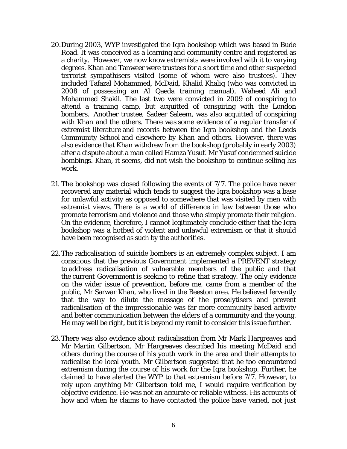- 20.During 2003, WYP investigated the Iqra bookshop which was based in Bude Road. It was conceived as a learning and community centre and registered as a charity. However, we now know extremists were involved with it to varying degrees. Khan and Tanweer were trustees for a short time and other suspected terrorist sympathisers visited (some of whom were also trustees). They included Tafazal Mohammed, McDaid, Khalid Khaliq (who was convicted in 2008 of possessing an Al Qaeda training manual), Waheed Ali and Mohammed Shakil. The last two were convicted in 2009 of conspiring to attend a training camp, but acquitted of conspiring with the London bombers. Another trustee, Sadeer Saleem, was also acquitted of conspiring with Khan and the others. There was some evidence of a regular transfer of extremist literature and records between the Iqra bookshop and the Leeds Community School and elsewhere by Khan and others. However, there was also evidence that Khan withdrew from the bookshop (probably in early 2003) after a dispute about a man called Hamza Yusuf. Mr Yusuf condemned suicide bombings. Khan, it seems, did not wish the bookshop to continue selling his work.
- 21. The bookshop was closed following the events of 7/7. The police have never recovered any material which tends to suggest the Iqra bookshop was a base for unlawful activity as opposed to somewhere that was visited by men with extremist views. There is a world of difference in law between those who promote terrorism and violence and those who simply promote their religion. On the evidence, therefore, I cannot legitimately conclude either that the Iqra bookshop was a hotbed of violent and unlawful extremism or that it should have been recognised as such by the authorities.
- 22.The radicalisation of suicide bombers is an extremely complex subject. I am conscious that the previous Government implemented a PREVENT strategy to address radicalisation of vulnerable members of the public and that the current Government is seeking to refine that strategy. The only evidence on the wider issue of prevention, before me, came from a member of the public, Mr Sarwar Khan, who lived in the Beeston area. He believed fervently that the way to dilute the message of the proselytisers and prevent radicalisation of the impressionable was far more community-based activity and better communication between the elders of a community and the young. He may well be right, but it is beyond my remit to consider this issue further.
- 23. There was also evidence about radicalisation from Mr Mark Hargreaves and Mr Martin Gilbertson. Mr Hargreaves described his meeting McDaid and others during the course of his youth work in the area and their attempts to radicalise the local youth. Mr Gilbertson suggested that he too encountered extremism during the course of his work for the Iqra bookshop. Further, he claimed to have alerted the WYP to that extremism before 7/7. However, to rely upon anything Mr Gilbertson told me, I would require verification by objective evidence. He was not an accurate or reliable witness. His accounts of how and when he claims to have contacted the police have varied, not just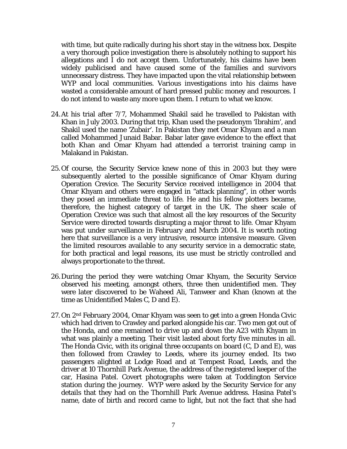with time, but quite radically during his short stay in the witness box. Despite a very thorough police investigation there is absolutely nothing to support his allegations and I do not accept them. Unfortunately, his claims have been widely publicised and have caused some of the families and survivors unnecessary distress. They have impacted upon the vital relationship between WYP and local communities. Various investigations into his claims have wasted a considerable amount of hard pressed public money and resources. I do not intend to waste any more upon them. I return to what we know.

- 24.At his trial after 7/7, Mohammed Shakil said he travelled to Pakistan with Khan in July 2003. During that trip, Khan used the pseudonym 'Ibrahim', and Shakil used the name 'Zubair'. In Pakistan they met Omar Khyam and a man called Mohammed Junaid Babar. Babar later gave evidence to the effect that both Khan and Omar Khyam had attended a terrorist training camp in Malakand in Pakistan.
- 25. Of course, the Security Service knew none of this in 2003 but they were subsequently alerted to the possible significance of Omar Khyam during Operation Crevice. The Security Service received intelligence in 2004 that Omar Khyam and others were engaged in "attack planning", in other words they posed an immediate threat to life. He and his fellow plotters became, therefore, the highest category of target in the UK. The sheer scale of Operation Crevice was such that almost all the key resources of the Security Service were directed towards disrupting a major threat to life. Omar Khyam was put under surveillance in February and March 2004. It is worth noting here that surveillance is a very intrusive, resource intensive measure. Given the limited resources available to any security service in a democratic state, for both practical and legal reasons, its use must be strictly controlled and always proportionate to the threat.
- 26.During the period they were watching Omar Khyam, the Security Service observed his meeting, amongst others, three then unidentified men. They were later discovered to be Waheed Ali, Tanweer and Khan (known at the time as Unidentified Males C, D and E).
- 27. On 2nd February 2004, Omar Khyam was seen to get into a green Honda Civic which had driven to Crawley and parked alongside his car. Two men got out of the Honda, and one remained to drive up and down the A23 with Khyam in what was plainly a meeting. Their visit lasted about forty five minutes in all. The Honda Civic, with its original three occupants on board (C, D and E), was then followed from Crawley to Leeds, where its journey ended. Its two passengers alighted at Lodge Road and at Tempest Road, Leeds, and the driver at 10 Thornhill Park Avenue, the address of the registered keeper of the car, Hasina Patel. Covert photographs were taken at Toddington Service station during the journey. WYP were asked by the Security Service for any details that they had on the Thornhill Park Avenue address. Hasina Patel's name, date of birth and record came to light, but not the fact that she had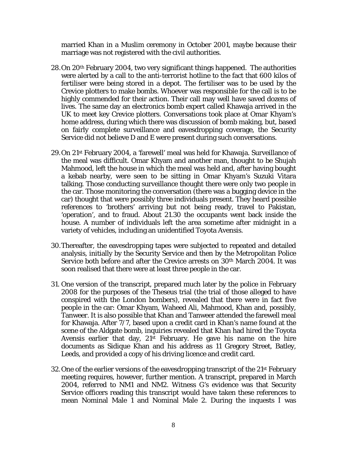married Khan in a Muslim ceremony in October 2001, maybe because their marriage was not registered with the civil authorities.

- 28.On 20th February 2004, two very significant things happened. The authorities were alerted by a call to the anti-terrorist hotline to the fact that 600 kilos of fertiliser were being stored in a depot. The fertiliser was to be used by the Crevice plotters to make bombs. Whoever was responsible for the call is to be highly commended for their action. Their call may well have saved dozens of lives. The same day an electronics bomb expert called Khawaja arrived in the UK to meet key Crevice plotters. Conversations took place at Omar Khyam's home address, during which there was discussion of bomb making, but, based on fairly complete surveillance and eavesdropping coverage, the Security Service did not believe D and E were present during such conversations.
- 29.On 21st February 2004, a 'farewell' meal was held for Khawaja. Surveillance of the meal was difficult. Omar Khyam and another man, thought to be Shujah Mahmood, left the house in which the meal was held and, after having bought a kebab nearby, were seen to be sitting in Omar Khyam's Suzuki Vitara talking. Those conducting surveillance thought there were only two people in the car. Those monitoring the conversation (there was a bugging device in the car) thought that were possibly three individuals present. They heard possible references to 'brothers' arriving but not being ready, travel to Pakistan, 'operation', and to fraud. About 21.30 the occupants went back inside the house. A number of individuals left the area sometime after midnight in a variety of vehicles, including an unidentified Toyota Avensis.
- 30.Thereafter, the eavesdropping tapes were subjected to repeated and detailed analysis, initially by the Security Service and then by the Metropolitan Police Service both before and after the Crevice arrests on 30th March 2004. It was soon realised that there were at least three people in the car.
- 31. One version of the transcript, prepared much later by the police in February 2008 for the purposes of the Theseus trial (the trial of those alleged to have conspired with the London bombers), revealed that there were in fact five people in the car: Omar Khyam, Waheed Ali, Mahmood, Khan and, possibly, Tanweer. It is also possible that Khan and Tanweer attended the farewell meal for Khawaja. After 7/7, based upon a credit card in Khan's name found at the scene of the Aldgate bomb, inquiries revealed that Khan had hired the Toyota Avensis earlier that day, 21<sup>st</sup> February. He gave his name on the hire documents as Sidique Khan and his address as 11 Gregory Street, Batley, Leeds, and provided a copy of his driving licence and credit card.
- 32. One of the earlier versions of the eavesdropping transcript of the  $21<sup>st</sup>$  February meeting requires, however, further mention. A transcript, prepared in March 2004, referred to NM1 and NM2. Witness G's evidence was that Security Service officers reading this transcript would have taken these references to mean Nominal Male 1 and Nominal Male 2. During the inquests I was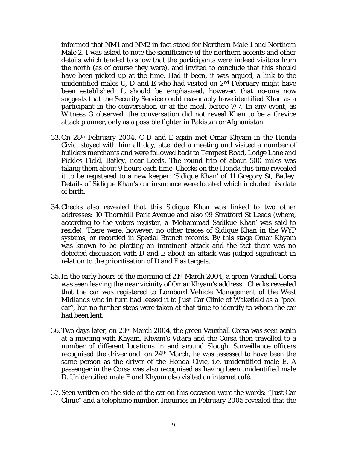informed that NM1 and NM2 in fact stood for Northern Male 1 and Northern Male 2. I was asked to note the significance of the northern accents and other details which tended to show that the participants were indeed visitors from the north (as of course they were), and invited to conclude that this should have been picked up at the time. Had it been, it was argued, a link to the unidentified males C, D and E who had visited on  $2<sup>nd</sup>$  February might have been established. It should be emphasised, however, that no-one now suggests that the Security Service could reasonably have identified Khan as a participant in the conversation or at the meal, before 7/7. In any event, as Witness G observed, the conversation did not reveal Khan to be a Crevice attack planner, only as a possible fighter in Pakistan or Afghanistan.

- 33. On 28th February 2004, C D and E again met Omar Khyam in the Honda Civic, stayed with him all day, attended a meeting and visited a number of builders merchants and were followed back to Tempest Road, Lodge Lane and Pickles Field, Batley, near Leeds. The round trip of about 500 miles was taking them about 9 hours each time. Checks on the Honda this time revealed it to be registered to a new keeper: 'Sidique Khan' of 11 Gregory St, Batley. Details of Sidique Khan's car insurance were located which included his date of birth.
- 34. Checks also revealed that this Sidique Khan was linked to two other addresses: 10 Thornhill Park Avenue and also 99 Stratford St Leeds (where, according to the voters register, a 'Mohammad Sadikue Khan' was said to reside). There were, however, no other traces of Sidique Khan in the WYP systems, or recorded in Special Branch records. By this stage Omar Khyam was known to be plotting an imminent attack and the fact there was no detected discussion with D and E about an attack was judged significant in relation to the prioritisation of D and E as targets.
- 35. In the early hours of the morning of 21st March 2004, a green Vauxhall Corsa was seen leaving the near vicinity of Omar Khyam's address. Checks revealed that the car was registered to Lombard Vehicle Management of the West Midlands who in turn had leased it to Just Car Clinic of Wakefield as a "pool car", but no further steps were taken at that time to identify to whom the car had been lent.
- 36. Two days later, on 23rd March 2004, the green Vauxhall Corsa was seen again at a meeting with Khyam. Khyam's Vitara and the Corsa then travelled to a number of different locations in and around Slough. Surveillance officers recognised the driver and, on 24th March, he was assessed to have been the same person as the driver of the Honda Civic, i.e. unidentified male E. A passenger in the Corsa was also recognised as having been unidentified male D. Unidentified male E and Khyam also visited an internet café.
- 37. Seen written on the side of the car on this occasion were the words: "Just Car Clinic" and a telephone number. Inquiries in February 2005 revealed that the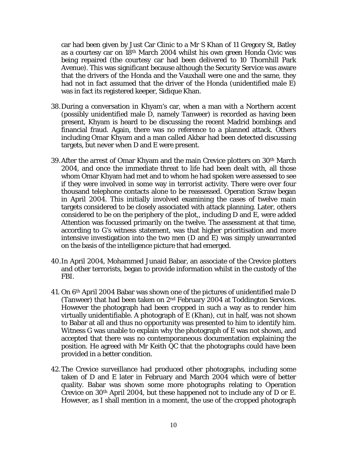car had been given by Just Car Clinic to a Mr S Khan of 11 Gregory St, Batley as a courtesy car on 18th March 2004 whilst his own green Honda Civic was being repaired (the courtesy car had been delivered to 10 Thornhill Park Avenue). This was significant because although the Security Service was aware that the drivers of the Honda and the Vauxhall were one and the same, they had not in fact assumed that the driver of the Honda (unidentified male E) was in fact its registered keeper, Sidique Khan.

- 38.During a conversation in Khyam's car, when a man with a Northern accent (possibly unidentified male D, namely Tanweer) is recorded as having been present, Khyam is heard to be discussing the recent Madrid bombings and financial fraud. Again, there was no reference to a planned attack. Others including Omar Khyam and a man called Akbar had been detected discussing targets, but never when D and E were present.
- 39. After the arrest of Omar Khyam and the main Crevice plotters on 30th March 2004, and once the immediate threat to life had been dealt with, all those whom Omar Khyam had met and to whom he had spoken were assessed to see if they were involved in some way in terrorist activity. There were over four thousand telephone contacts alone to be reassessed. Operation Scraw began in April 2004. This initially involved examining the cases of twelve main targets considered to be closely associated with attack planning. Later, others considered to be on the periphery of the plot,, including D and E, were added Attention was focussed primarily on the twelve. The assessment at that time, according to G's witness statement, was that higher prioritisation and more intensive investigation into the two men (D and E) was simply unwarranted on the basis of the intelligence picture that had emerged.
- 40.In April 2004, Mohammed Junaid Babar, an associate of the Crevice plotters and other terrorists, began to provide information whilst in the custody of the FBI.
- 41. On 6th April 2004 Babar was shown one of the pictures of unidentified male D (Tanweer) that had been taken on 2nd February 2004 at Toddington Services. However the photograph had been cropped in such a way as to render him virtually unidentifiable. A photograph of E (Khan), cut in half, was not shown to Babar at all and thus no opportunity was presented to him to identify him. Witness G was unable to explain why the photograph of E was not shown, and accepted that there was no contemporaneous documentation explaining the position. He agreed with Mr Keith QC that the photographs could have been provided in a better condition.
- 42.The Crevice surveillance had produced other photographs, including some taken of D and E later in February and March 2004 which were of better quality. Babar was shown some more photographs relating to Operation Crevice on 30th April 2004, but these happened not to include any of D or E. However, as I shall mention in a moment, the use of the cropped photograph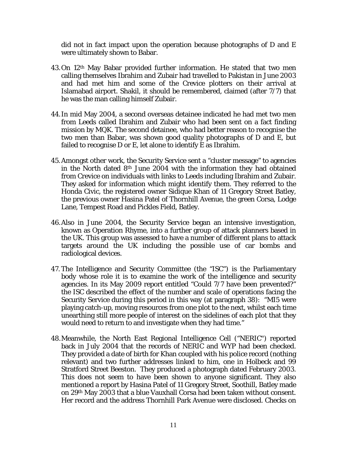did not in fact impact upon the operation because photographs of D and E were ultimately shown to Babar.

- 43. On 12th May Babar provided further information. He stated that two men calling themselves Ibrahim and Zubair had travelled to Pakistan in June 2003 and had met him and some of the Crevice plotters on their arrival at Islamabad airport. Shakil, it should be remembered, claimed (after 7/7) that he was the man calling himself Zubair.
- 44.In mid May 2004, a second overseas detainee indicated he had met two men from Leeds called Ibrahim and Zubair who had been sent on a fact finding mission by MQK. The second detainee, who had better reason to recognise the two men than Babar, was shown good quality photographs of D and E, but failed to recognise D or E, let alone to identify E as Ibrahim.
- 45. Amongst other work, the Security Service sent a "cluster message" to agencies in the North dated 8th June 2004 with the information they had obtained from Crevice on individuals with links to Leeds including Ibrahim and Zubair. They asked for information which might identify them. They referred to the Honda Civic, the registered owner Sidique Khan of 11 Gregory Street Batley, the previous owner Hasina Patel of Thornhill Avenue, the green Corsa, Lodge Lane, Tempest Road and Pickles Field, Batley.
- 46.Also in June 2004, the Security Service began an intensive investigation, known as Operation Rhyme, into a further group of attack planners based in the UK. This group was assessed to have a number of different plans to attack targets around the UK including the possible use of car bombs and radiological devices.
- 47. The Intelligence and Security Committee (the "ISC") is the Parliamentary body whose role it is to examine the work of the intelligence and security agencies. In its May 2009 report entitled "Could 7/7 have been prevented?" the ISC described the effect of the number and scale of operations facing the Security Service during this period in this way (at paragraph 38): "MI5 were playing catch-up, moving resources from one plot to the next, whilst each time unearthing still more people of interest on the sidelines of each plot that they would need to return to and investigate when they had time."
- 48.Meanwhile, the North East Regional Intelligence Cell ("NERIC") reported back in July 2004 that the records of NERIC and WYP had been checked. They provided a date of birth for Khan coupled with his police record (nothing relevant) and two further addresses linked to him, one in Holbeck and 99 Stratford Street Beeston. They produced a photograph dated February 2003. This does not seem to have been shown to anyone significant. They also mentioned a report by Hasina Patel of 11 Gregory Street, Soothill, Batley made on 29th May 2003 that a blue Vauxhall Corsa had been taken without consent. Her record and the address Thornhill Park Avenue were disclosed. Checks on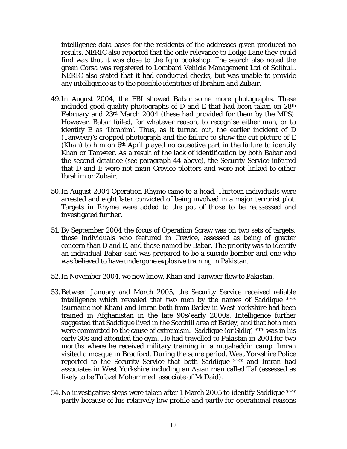intelligence data bases for the residents of the addresses given produced no results. NERIC also reported that the only relevance to Lodge Lane they could find was that it was close to the Iqra bookshop. The search also noted the green Corsa was registered to Lombard Vehicle Management Ltd of Solihull. NERIC also stated that it had conducted checks, but was unable to provide any intelligence as to the possible identities of Ibrahim and Zubair.

- 49.In August 2004, the FBI showed Babar some more photographs. These included good quality photographs of  $D$  and  $E$  that had been taken on  $28<sup>th</sup>$ February and 23rd March 2004 (these had provided for them by the MPS). However, Babar failed, for whatever reason, to recognise either man, or to identify E as 'Ibrahim'. Thus, as it turned out, the earlier incident of D (Tanweer)'s cropped photograph and the failure to show the cut picture of E (Khan) to him on  $6<sup>th</sup>$  April played no causative part in the failure to identify Khan or Tanweer. As a result of the lack of identification by both Babar and the second detainee (see paragraph 44 above), the Security Service inferred that D and E were not main Crevice plotters and were not linked to either Ibrahim or Zubair.
- 50.In August 2004 Operation Rhyme came to a head. Thirteen individuals were arrested and eight later convicted of being involved in a major terrorist plot. Targets in Rhyme were added to the pot of those to be reassessed and investigated further.
- 51. By September 2004 the focus of Operation Scraw was on two sets of targets: those individuals who featured in Crevice, assessed as being of greater concern than D and E, and those named by Babar. The priority was to identify an individual Babar said was prepared to be a suicide bomber and one who was believed to have undergone explosive training in Pakistan.
- 52. In November 2004, we now know, Khan and Tanweer flew to Pakistan.
- 53. Between January and March 2005, the Security Service received reliable intelligence which revealed that two men by the names of Saddique \*\*\* (surname not Khan) and Imran both from Batley in West Yorkshire had been trained in Afghanistan in the late 90s/early 2000s. Intelligence further suggested that Saddique lived in the Soothill area of Batley, and that both men were committed to the cause of extremism. Saddique (or Sidiq) \*\*\* was in his early 30s and attended the gym. He had travelled to Pakistan in 2001 for two months where he received military training in a mujahaddin camp. Imran visited a mosque in Bradford. During the same period, West Yorkshire Police reported to the Security Service that both Saddique \*\*\* and Imran had associates in West Yorkshire including an Asian man called Taf (assessed as likely to be Tafazel Mohammed, associate of McDaid).
- 54. No investigative steps were taken after 1 March 2005 to identify Saddique \*\*\* partly because of his relatively low profile and partly for operational reasons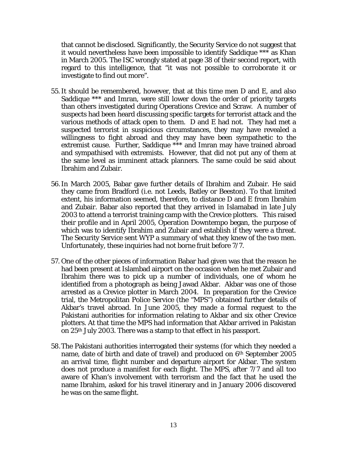that cannot be disclosed. Significantly, the Security Service do not suggest that it would nevertheless have been impossible to identify Saddique \*\*\* as Khan in March 2005. The ISC wrongly stated at page 38 of their second report, with regard to this intelligence, that "it was not possible to corroborate it or investigate to find out more".

- 55. It should be remembered, however, that at this time men D and E, and also Saddique \*\*\* and Imran, were still lower down the order of priority targets than others investigated during Operations Crevice and Scraw. A number of suspects had been heard discussing specific targets for terrorist attack and the various methods of attack open to them. D and E had not. They had met a suspected terrorist in suspicious circumstances, they may have revealed a willingness to fight abroad and they may have been sympathetic to the extremist cause. Further, Saddique \*\*\* and Imran may have trained abroad and sympathised with extremists. However, that did not put any of them at the same level as imminent attack planners. The same could be said about Ibrahim and Zubair.
- 56. In March 2005, Babar gave further details of Ibrahim and Zubair. He said they came from Bradford (i.e. not Leeds, Batley or Beeston). To that limited extent, his information seemed, therefore, to distance D and E from Ibrahim and Zubair. Babar also reported that they arrived in Islamabad in late July 2003 to attend a terrorist training camp with the Crevice plotters. This raised their profile and in April 2005, Operation Downtempo began, the purpose of which was to identify Ibrahim and Zubair and establish if they were a threat. The Security Service sent WYP a summary of what they knew of the two men. Unfortunately, these inquiries had not borne fruit before 7/7.
- 57. One of the other pieces of information Babar had given was that the reason he had been present at Islambad airport on the occasion when he met Zubair and Ibrahim there was to pick up a number of individuals, one of whom he identified from a photograph as being Jawad Akbar. Akbar was one of those arrested as a Crevice plotter in March 2004. In preparation for the Crevice trial, the Metropolitan Police Service (the "MPS") obtained further details of Akbar's travel abroad. In June 2005, they made a formal request to the Pakistani authorities for information relating to Akbar and six other Crevice plotters. At that time the MPS had information that Akbar arrived in Pakistan on 25th July 2003. There was a stamp to that effect in his passport.
- 58.The Pakistani authorities interrogated their systems (for which they needed a name, date of birth and date of travel) and produced on 6th September 2005 an arrival time, flight number and departure airport for Akbar. The system does not produce a manifest for each flight. The MPS, after 7/7 and all too aware of Khan's involvement with terrorism and the fact that he used the name Ibrahim, asked for his travel itinerary and in January 2006 discovered he was on the same flight.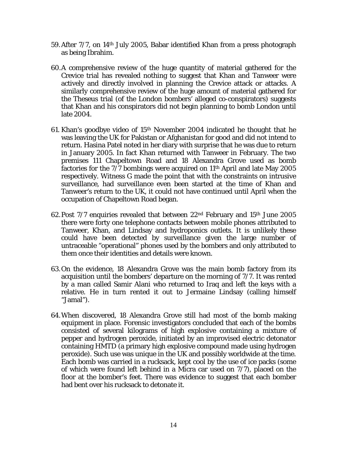- 59. After 7/7, on 14th July 2005, Babar identified Khan from a press photograph as being Ibrahim.
- 60.A comprehensive review of the huge quantity of material gathered for the Crevice trial has revealed nothing to suggest that Khan and Tanweer were actively and directly involved in planning the Crevice attack or attacks. A similarly comprehensive review of the huge amount of material gathered for the Theseus trial (of the London bombers' alleged co-conspirators) suggests that Khan and his conspirators did not begin planning to bomb London until late 2004.
- 61. Khan's goodbye video of  $15<sup>th</sup>$  November 2004 indicated he thought that he was leaving the UK for Pakistan or Afghanistan for good and did not intend to return. Hasina Patel noted in her diary with surprise that he was due to return in January 2005. In fact Khan returned with Tanweer in February. The two premises 111 Chapeltown Road and 18 Alexandra Grove used as bomb factories for the 7/7 bombings were acquired on 11th April and late May 2005 respectively. Witness G made the point that with the constraints on intrusive surveillance, had surveillance even been started at the time of Khan and Tanweer's return to the UK, it could not have continued until April when the occupation of Chapeltown Road began.
- 62.Post 7/7 enquiries revealed that between 22nd February and 15th June 2005 there were forty one telephone contacts between mobile phones attributed to Tanweer, Khan, and Lindsay and hydroponics outlets. It is unlikely these could have been detected by surveillance given the large number of untraceable "operational" phones used by the bombers and only attributed to them once their identities and details were known.
- 63. On the evidence, 18 Alexandra Grove was the main bomb factory from its acquisition until the bombers' departure on the morning of 7/7. It was rented by a man called Samir Alani who returned to Iraq and left the keys with a relative. He in turn rented it out to Jermaine Lindsay (calling himself "Jamal").
- 64.When discovered, 18 Alexandra Grove still had most of the bomb making equipment in place. Forensic investigators concluded that each of the bombs consisted of several kilograms of high explosive containing a mixture of pepper and hydrogen peroxide, initiated by an improvised electric detonator containing HMTD (a primary high explosive compound made using hydrogen peroxide). Such use was unique in the UK and possibly worldwide at the time. Each bomb was carried in a rucksack, kept cool by the use of ice packs (some of which were found left behind in a Micra car used on 7/7), placed on the floor at the bomber's feet. There was evidence to suggest that each bomber had bent over his rucksack to detonate it.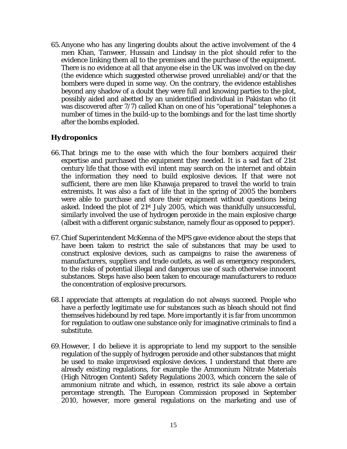65. Anyone who has any lingering doubts about the active involvement of the 4 men Khan, Tanweer, Hussain and Lindsay in the plot should refer to the evidence linking them all to the premises and the purchase of the equipment. There is no evidence at all that anyone else in the UK was involved on the day (the evidence which suggested otherwise proved unreliable) and/or that the bombers were duped in some way. On the contrary, the evidence establishes beyond any shadow of a doubt they were full and knowing parties to the plot, possibly aided and abetted by an unidentified individual in Pakistan who (it was discovered after 7/7) called Khan on one of his "operational" telephones a number of times in the build-up to the bombings and for the last time shortly after the bombs exploded.

### *Hydroponics*

- 66.That brings me to the ease with which the four bombers acquired their expertise and purchased the equipment they needed. It is a sad fact of 21st century life that those with evil intent may search on the internet and obtain the information they need to build explosive devices. If that were not sufficient, there are men like Khawaja prepared to travel the world to train extremists. It was also a fact of life that in the spring of 2005 the bombers were able to purchase and store their equipment without questions being asked. Indeed the plot of 21st July 2005, which was thankfully unsuccessful, similarly involved the use of hydrogen peroxide in the main explosive charge (albeit with a different organic substance, namely flour as opposed to pepper).
- 67. Chief Superintendent McKenna of the MPS gave evidence about the steps that have been taken to restrict the sale of substances that may be used to construct explosive devices, such as campaigns to raise the awareness of manufacturers, suppliers and trade outlets, as well as emergency responders, to the risks of potential illegal and dangerous use of such otherwise innocent substances. Steps have also been taken to encourage manufacturers to reduce the concentration of explosive precursors.
- 68.I appreciate that attempts at regulation do not always succeed. People who have a perfectly legitimate use for substances such as bleach should not find themselves hidebound by red tape. More importantly it is far from uncommon for regulation to outlaw one substance only for imaginative criminals to find a substitute.
- 69.However, I do believe it is appropriate to lend my support to the sensible regulation of the supply of hydrogen peroxide and other substances that might be used to make improvised explosive devices. I understand that there are already existing regulations, for example the Ammonium Nitrate Materials (High Nitrogen Content) Safety Regulations 2003, which concern the sale of ammonium nitrate and which, in essence, restrict its sale above a certain percentage strength. The European Commission proposed in September 2010, however, more general regulations on the marketing and use of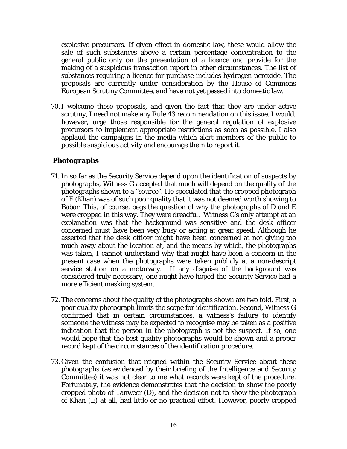explosive precursors. If given effect in domestic law, these would allow the sale of such substances above a certain percentage concentration to the general public only on the presentation of a licence and provide for the making of a suspicious transaction report in other circumstances. The list of substances requiring a licence for purchase includes hydrogen peroxide. The proposals are currently under consideration by the House of Commons European Scrutiny Committee, and have not yet passed into domestic law.

70. I welcome these proposals, and given the fact that they are under active scrutiny, I need not make any Rule 43 recommendation on this issue. I would, however, urge those responsible for the general regulation of explosive precursors to implement appropriate restrictions as soon as possible. I also applaud the campaigns in the media which alert members of the public to possible suspicious activity and encourage them to report it.

#### *Photographs*

- 71. In so far as the Security Service depend upon the identification of suspects by photographs, Witness G accepted that much will depend on the quality of the photographs shown to a "source". He speculated that the cropped photograph of E (Khan) was of such poor quality that it was not deemed worth showing to Babar. This, of course, begs the question of why the photographs of D and E were cropped in this way. They were dreadful. Witness G's only attempt at an explanation was that the background was sensitive and the desk officer concerned must have been very busy or acting at great speed. Although he asserted that the desk officer might have been concerned at not giving too much away about the location at, and the means by which, the photographs was taken, I cannot understand why that might have been a concern in the present case when the photographs were taken publicly at a non-descript service station on a motorway. If any disguise of the background was considered truly necessary, one might have hoped the Security Service had a more efficient masking system.
- 72. The concerns about the quality of the photographs shown are two fold. First, a poor quality photograph limits the scope for identification. Second, Witness G confirmed that in certain circumstances, a witness's failure to identify someone the witness may be expected to recognise may be taken as a positive indication that the person in the photograph is not the suspect. If so, one would hope that the best quality photographs would be shown and a proper record kept of the circumstances of the identification procedure.
- 73. Given the confusion that reigned within the Security Service about these photographs (as evidenced by their briefing of the Intelligence and Security Committee) it was not clear to me what records were kept of the procedure. Fortunately, the evidence demonstrates that the decision to show the poorly cropped photo of Tanweer (D), and the decision not to show the photograph of Khan (E) at all, had little or no practical effect. However, poorly cropped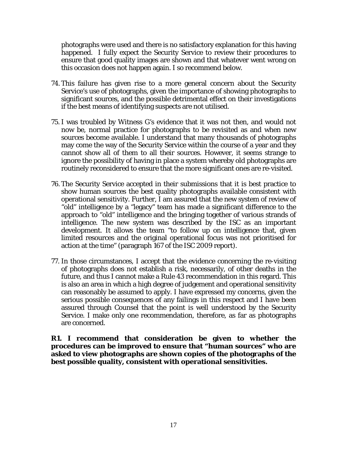photographs were used and there is no satisfactory explanation for this having happened. I fully expect the Security Service to review their procedures to ensure that good quality images are shown and that whatever went wrong on this occasion does not happen again. I so recommend below.

- 74. This failure has given rise to a more general concern about the Security Service's use of photographs, given the importance of showing photographs to significant sources, and the possible detrimental effect on their investigations if the best means of identifying suspects are not utilised.
- 75. I was troubled by Witness G's evidence that it was not then, and would not now be, normal practice for photographs to be revisited as and when new sources become available. I understand that many thousands of photographs may come the way of the Security Service within the course of a year and they cannot show all of them to all their sources. However, it seems strange to ignore the possibility of having in place a system whereby old photographs are routinely reconsidered to ensure that the more significant ones are re-visited.
- 76. The Security Service accepted in their submissions that it is best practice to show human sources the best quality photographs available consistent with operational sensitivity. Further, I am assured that the new system of review of "old" intelligence by a "legacy" team has made a significant difference to the approach to "old" intelligence and the bringing together of various strands of intelligence. The new system was described by the ISC as an important development. It allows the team "to follow up on intelligence that, given limited resources and the original operational focus was not prioritised for action at the time" (paragraph 167 of the ISC 2009 report).
- 77. In those circumstances, I accept that the evidence concerning the re-visiting of photographs does not establish a risk, necessarily, of other deaths in the future, and thus I cannot make a Rule 43 recommendation in this regard. This is also an area in which a high degree of judgement and operational sensitivity can reasonably be assumed to apply. I have expressed my concerns, given the serious possible consequences of any failings in this respect and I have been assured through Counsel that the point is well understood by the Security Service. I make only one recommendation, therefore, as far as photographs are concerned.

**R1. I recommend that consideration be given to whether the procedures can be improved to ensure that "human sources" who are asked to view photographs are shown copies of the photographs of the best possible quality, consistent with operational sensitivities.**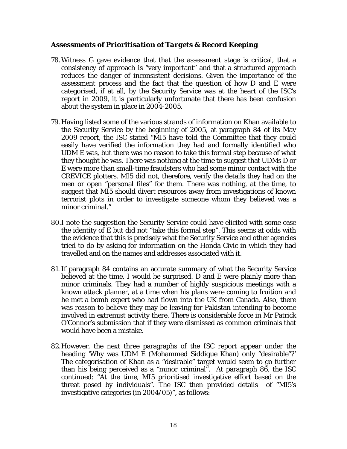#### *Assessments of Prioritisation of Targets & Record Keeping*

- 78. Witness G gave evidence that that the assessment stage is critical, that a consistency of approach is "very important" and that a structured approach reduces the danger of inconsistent decisions. Given the importance of the assessment process and the fact that the question of how D and E were categorised, if at all, by the Security Service was at the heart of the ISC's report in 2009, it is particularly unfortunate that there has been confusion about the system in place in 2004-2005.
- 79. Having listed some of the various strands of information on Khan available to the Security Service by the beginning of 2005, at paragraph 84 of its May 2009 report, the ISC stated "MI5 have told the Committee that they could easily have verified the information they had and formally identified who UDM E was, but there was no reason to take this formal step because of what they thought he was. There was nothing at the time to suggest that UDMs D or E were more than small-time fraudsters who had some minor contact with the CREVICE plotters. MI5 did not, therefore, verify the details they had on the men or open "personal files" for them. There was nothing, at the time, to suggest that MI5 should divert resources away from investigations of known terrorist plots in order to investigate someone whom they believed was a minor criminal."
- 80.I note the suggestion the Security Service could have elicited with some ease the identity of E but did not "take this formal step". This seems at odds with the evidence that this is precisely what the Security Service and other agencies tried to do by asking for information on the Honda Civic in which they had travelled and on the names and addresses associated with it.
- 81. If paragraph 84 contains an accurate summary of what the Security Service believed at the time, I would be surprised. D and E were plainly more than minor criminals. They had a number of highly suspicious meetings with a known attack planner, at a time when his plans were coming to fruition and he met a bomb expert who had flown into the UK from Canada. Also, there was reason to believe they may be leaving for Pakistan intending to become involved in extremist activity there. There is considerable force in Mr Patrick O'Connor's submission that if they were dismissed as common criminals that would have been a mistake.
- 82.However, the next three paragraphs of the ISC report appear under the heading 'Why was UDM E (Mohammed Siddique Khan) only "desirable"?' The categorisation of Khan as a "desirable" target would seem to go further than his being perceived as a "minor criminal". At paragraph 86, the ISC continued: "At the time, MI5 prioritised investigative effort based on the threat posed by individuals". The ISC then provided details of "MI5's investigative categories (in 2004/05)", as follows: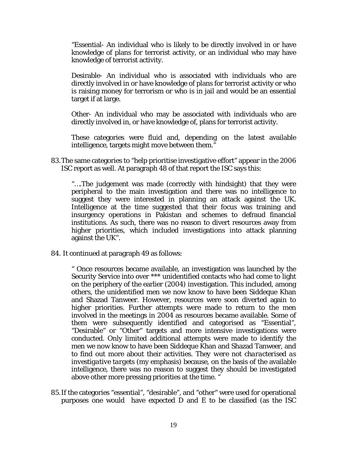"Essential- An individual who is likely to be directly involved in or have knowledge of plans for terrorist activity, or an individual who may have knowledge of terrorist activity.

Desirable- An individual who is associated with individuals who are directly involved in or have knowledge of plans for terrorist activity or who is raising money for terrorism or who is in jail and would be an essential target if at large.

Other- An individual who may be associated with individuals who are directly involved in, or have knowledge of, plans for terrorist activity.

These categories were fluid and, depending on the latest available intelligence, targets might move between them."

83.The same categories to "help prioritise investigative effort" appear in the 2006 ISC report as well. At paragraph 48 of that report the ISC says this:

"….The judgement was made (correctly with hindsight) that they were peripheral to the main investigation and there was no intelligence to suggest they were interested in planning an attack against the UK. Intelligence at the time suggested that their focus was training and insurgency operations in Pakistan and schemes to defraud financial institutions. As such, there was no reason to divert resources away from higher priorities, which included investigations into attack planning against the UK".

84. It continued at paragraph 49 as follows:

" Once resources became available, an investigation was launched by the Security Service into over \*\*\* unidentified contacts who had come to light on the periphery of the earlier (2004) investigation. This included, among others, the unidentified men we now know to have been Siddeque Khan and Shazad Tanweer. However, resources were soon diverted again to higher priorities. Further attempts were made to return to the men involved in the meetings in 2004 as resources became available. Some of them were subsequently identified and categorised as "Essential", "Desirable" or "Other" targets and more intensive investigations were conducted. Only limited additional attempts were made to identify the men we now know to have been Siddeque Khan and Shazad Tanweer, and to find out more about their activities. *They were not characterised as investigative targets* (my emphasis) because, on the basis of the available intelligence, there was no reason to suggest they should be investigated above other more pressing priorities at the time. "

85.If the categories "essential", "desirable", and "other" were used for operational purposes one would have expected D and E to be classified (as the ISC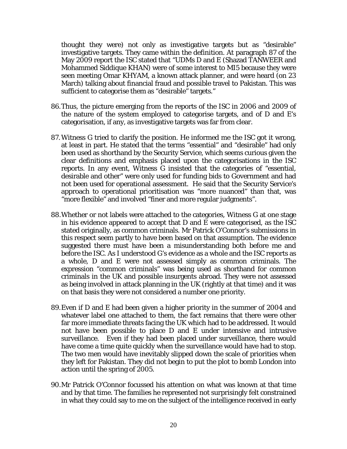thought they were) not only as investigative targets but as "desirable" investigative targets. They came within the definition. At paragraph 87 of the May 2009 report the ISC stated that "UDMs D and E (Shazad TANWEER and Mohammed Siddique KHAN) were of some interest to MI5 because they were seen meeting Omar KHYAM, a known attack planner, and were heard (on 23 March) talking about financial fraud and possible travel to Pakistan. This was sufficient to categorise them as "desirable" targets."

- 86.Thus, the picture emerging from the reports of the ISC in 2006 and 2009 of the nature of the system employed to categorise targets, and of D and E's categorisation, if any, as investigative targets was far from clear.
- 87. Witness G tried to clarify the position. He informed me the ISC got it wrong, at least in part. He stated that the terms "essential" and "desirable" had only been used as shorthand by the Security Service, which seems curious given the clear definitions and emphasis placed upon the categorisations in the ISC reports. In any event, Witness G insisted that the categories of "essential, desirable and other" were only used for funding bids to Government and had not been used for operational assessment. He said that the Security Service's approach to operational prioritisation was "more nuanced" than that, was "more flexible" and involved "finer and more regular judgments".
- 88.Whether or not labels were attached to the categories, Witness G at one stage in his evidence appeared to accept that D and E were categorised, as the ISC stated originally, as common criminals. Mr Patrick O'Connor's submissions in this respect seem partly to have been based on that assumption. The evidence suggested there must have been a misunderstanding both before me and before the ISC. As I understood G's evidence as a whole and the ISC reports as a whole, D and E were not assessed simply as common criminals. The expression "common criminals" was being used as shorthand for common criminals in the UK and possible insurgents abroad. They were not assessed as being involved in attack planning in the UK (rightly at that time) and it was on that basis they were not considered a number one priority.
- 89.Even if D and E had been given a higher priority in the summer of 2004 and whatever label one attached to them, the fact remains that there were other far more immediate threats facing the UK which had to be addressed. It would not have been possible to place D and E under intensive and intrusive surveillance. Even if they had been placed under surveillance, there would have come a time quite quickly when the surveillance would have had to stop. The two men would have inevitably slipped down the scale of priorities when they left for Pakistan. They did not begin to put the plot to bomb London into action until the spring of 2005.
- 90.Mr Patrick O'Connor focussed his attention on what was known at that time and by that time. The families he represented not surprisingly felt constrained in what they could say to me on the subject of the intelligence received in early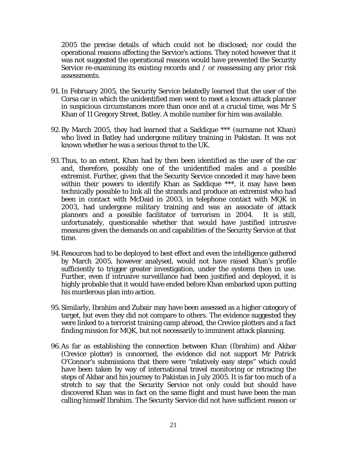2005 the precise details of which could not be disclosed; nor could the operational reasons affecting the Service's actions. They noted however that it was not suggested the operational reasons would have prevented the Security Service re-examining its existing records and / or reassessing any prior risk assessments.

- 91. In February 2005, the Security Service belatedly learned that the user of the Corsa car in which the unidentified men went to meet a known attack planner in suspicious circumstances more than once and at a crucial time, was Mr S Khan of 11 Gregory Street, Batley. A mobile number for him was available.
- 92.By March 2005, they had learned that a Saddique \*\*\* (surname not Khan) who lived in Batley had undergone military training in Pakistan. It was not known whether he was a serious threat to the UK.
- 93. Thus, to an extent, Khan had by then been identified as the user of the car and, therefore, possibly one of the unidentified males and a possible extremist. Further, given that the Security Service conceded it may have been within their powers to identify Khan as Saddique \*\*\*, it may have been technically possible to link all the strands and produce an extremist who had been in contact with McDaid in 2003, in telephone contact with MQK in 2003, had undergone military training and was an associate of attack planners and a possible facilitator of terrorism in 2004. It is still, unfortunately, questionable whether that would have justified intrusive measures given the demands on and capabilities of the Security Service at that time.
- sufficiently to trigger greater investigation, under the systems then in use. 94.Resources had to be deployed to best effect and even the intelligence gathered by March 2005, however analysed, would not have raised Khan's profile Further, even if intrusive surveillance had been justified and deployed, it is highly probable that it would have ended before Khan embarked upon putting his murderous plan into action.
- 95. Similarly, Ibrahim and Zubair may have been assessed as a higher category of target, but even they did not compare to others. The evidence suggested they were linked to a terrorist training camp abroad, the Crevice plotters and a fact finding mission for MQK, but not necessarily to imminent attack planning.
- 96.As far as establishing the connection between Khan (Ibrahim) and Akbar (Crevice plotter) is concerned, the evidence did not support Mr Patrick O'Connor's submissions that there were "relatively easy steps" which could have been taken by way of international travel monitoring or retracing the steps of Akbar and his journey to Pakistan in July 2005. It is far too much of a stretch to say that the Security Service not only could but should have discovered Khan was in fact on the same flight and must have been the man calling himself Ibrahim. The Security Service did not have sufficient reason or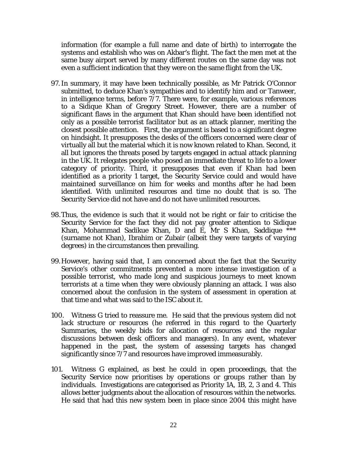information (for example a full name and date of birth) to interrogate the systems and establish who was on Akbar's flight. The fact the men met at the same busy airport served by many different routes on the same day was not even a sufficient indication that they were on the same flight from the UK.

- 97. In summary, it may have been technically possible, as Mr Patrick O'Connor submitted, to deduce Khan's sympathies and to identify him and or Tanweer, in intelligence terms, before 7/7. There were, for example, various references to a Sidique Khan of Gregory Street. However, there are a number of significant flaws in the argument that Khan should have been identified not only as a possible terrorist facilitator but as an attack planner, meriting the closest possible attention. First, the argument is based to a significant degree on hindsight. It presupposes the desks of the officers concerned were clear of virtually all but the material which it is now known related to Khan. Second, it all but ignores the threats posed by targets engaged in actual attack planning in the UK. It relegates people who posed an immediate threat to life to a lower category of priority. Third, it presupposes that even if Khan had been identified as a priority 1 target, the Security Service could and would have maintained surveillance on him for weeks and months after he had been identified. With unlimited resources and time no doubt that is so. The Security Service did not have and do not have unlimited resources.
- 98.Thus, the evidence is such that it would not be right or fair to criticise the Security Service for the fact they did not pay greater attention to Sidique Khan, Mohammad Sadikue Khan, D and E, Mr S Khan, Saddique  $**$ (surname not Khan), Ibrahim or Zubair (albeit they were targets of varying degrees) in the circumstances then prevailing.
- 99.However, having said that, I am concerned about the fact that the Security Service's other commitments prevented a more intense investigation of a possible terrorist, who made long and suspicious journeys to meet known terrorists at a time when they were obviously planning an attack. I was also concerned about the confusion in the system of assessment in operation at that time and what was said to the ISC about it.
- 100. Witness G tried to reassure me. He said that the previous system did not lack structure or resources (he referred in this regard to the Quarterly Summaries, the weekly bids for allocation of resources and the regular discussions between desk officers and managers). In any event, whatever happened in the past, the system of assessing targets has changed significantly since 7/7 and resources have improved immeasurably.
- allows better judgments about the allocation of resources within the networks. 101. Witness G explained, as best he could in open proceedings, that the Security Service now prioritises by operations or groups rather than by individuals. Investigations are categorised as Priority 1A, 1B, 2, 3 and 4. This He said that had this new system been in place since 2004 this might have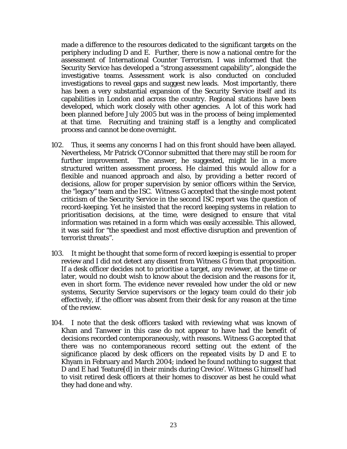made a difference to the resources dedicated to the significant targets on the periphery including D and E. Further, there is now a national centre for the assessment of International Counter Terrorism. I was informed that the Security Service has developed a "strong assessment capability", alongside the investigative teams. Assessment work is also conducted on concluded investigations to reveal gaps and suggest new leads. Most importantly, there has been a very substantial expansion of the Security Service itself and its capabilities in London and across the country. Regional stations have been developed, which work closely with other agencies. A lot of this work had been planned before July 2005 but was in the process of being implemented at that time. Recruiting and training staff is a lengthy and complicated process and cannot be done overnight.

- 102. Thus, it seems any concerns I had on this front should have been allayed. Nevertheless, Mr Patrick O'Connor submitted that there may still be room for further improvement. The answer, he suggested, might lie in a more structured written assessment process. He claimed this would allow for a flexible and nuanced approach and also, by providing a better record of decisions, allow for proper supervision by senior officers within the Service, the "legacy" team and the ISC. Witness G accepted that the single most potent criticism of the Security Service in the second ISC report was the question of record-keeping. Yet he insisted that the record keeping systems in relation to prioritisation decisions, at the time, were designed to ensure that vital information was retained in a form which was easily accessible. This allowed, it was said for "the speediest and most effective disruption and prevention of terrorist threats".
- 103. It might be thought that some form of record keeping is essential to proper review and I did not detect any dissent from Witness G from that proposition. If a desk officer decides not to prioritise a target, any reviewer, at the time or later, would no doubt wish to know about the decision and the reasons for it, even in short form. The evidence never revealed how under the old or new systems, Security Service supervisors or the legacy team could do their job effectively, if the officer was absent from their desk for any reason at the time of the review.
- 104. I note that the desk officers tasked with reviewing what was known of Khan and Tanweer in this case do not appear to have had the benefit of decisions recorded contemporaneously, with reasons. Witness G accepted that there was no contemporaneous record setting out the extent of the significance placed by desk officers on the repeated visits by D and E to Khyam in February and March 2004; indeed he found nothing to suggest that D and E had 'feature[d] in their minds during Crevice'. Witness G himself had to visit retired desk officers at their homes to discover as best he could what they had done and why.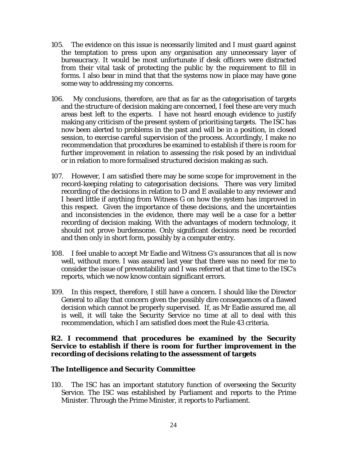- 105. The evidence on this issue is necessarily limited and I must guard against the temptation to press upon any organisation any unnecessary layer of bureaucracy. It would be most unfortunate if desk officers were distracted from their vital task of protecting the public by the requirement to fill in forms. I also bear in mind that that the systems now in place may have gone some way to addressing my concerns.
- 106. My conclusions, therefore, are that as far as the categorisation of targets and the structure of decision making are concerned, I feel these are very much areas best left to the experts. I have not heard enough evidence to justify making any criticism of the present system of prioritising targets. The ISC has now been alerted to problems in the past and will be in a position, in closed session, to exercise careful supervision of the process. Accordingly, I make no recommendation that procedures be examined to establish if there is room for further improvement in relation to assessing the risk posed by an individual or in relation to more formalised structured decision making as such.
- 107. However, I am satisfied there may be some scope for improvement in the record-keeping relating to categorisation decisions. There was very limited recording of the decisions in relation to D and E available to any reviewer and I heard little if anything from Witness G on how the system has improved in this respect. Given the importance of these decisions, and the uncertainties and inconsistencies in the evidence, there may well be a case for a better recording of decision making. With the advantages of modern technology, it should not prove burdensome. Only significant decisions need be recorded and then only in short form, possibly by a computer entry.
- 108. I feel unable to accept Mr Eadie and Witness G's assurances that all is now well, without more. I was assured last year that there was no need for me to consider the issue of preventability and I was referred at that time to the ISC's reports, which we now know contain significant errors.
- 109. In this respect, therefore, I still have a concern. I should like the Director General to allay that concern given the possibly dire consequences of a flawed decision which cannot be properly supervised. If, as Mr Eadie assured me, all is well, it will take the Security Service no time at all to deal with this recommendation, which I am satisfied does meet the Rule 43 criteria.

#### **R2. I recommend that procedures be examined by the Security Service to establish if there is room for further improvement in the recording of decisions relating to the assessment of targets**

#### *The Intelligence and Security Committee*

110. The ISC has an important statutory function of overseeing the Security Service. The ISC was established by Parliament and reports to the Prime Minister. Through the Prime Minister, it reports to Parliament.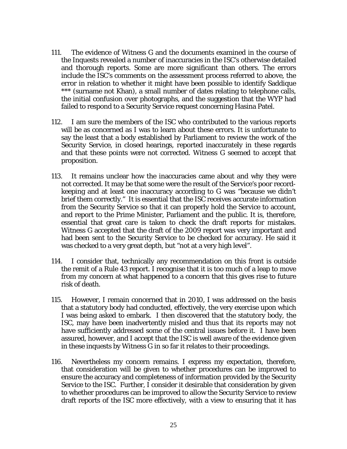- 111. The evidence of Witness G and the documents examined in the course of the Inquests revealed a number of inaccuracies in the ISC's otherwise detailed and thorough reports. Some are more significant than others. The errors include the ISC's comments on the assessment process referred to above, the error in relation to whether it might have been possible to identify Saddique \*\*\* (surname not Khan), a small number of dates relating to telephone calls, the initial confusion over photographs, and the suggestion that the WYP had failed to respond to a Security Service request concerning Hasina Patel.
- 112. I am sure the members of the ISC who contributed to the various reports will be as concerned as I was to learn about these errors. It is unfortunate to say the least that a body established by Parliament to review the work of the Security Service, in closed hearings, reported inaccurately in these regards and that these points were not corrected. Witness G seemed to accept that proposition.
- 113. It remains unclear how the inaccuracies came about and why they were not corrected. It may be that some were the result of the Service's poor recordkeeping and at least one inaccuracy according to G was "because we didn't brief them correctly." It is essential that the ISC receives accurate information from the Security Service so that it can properly hold the Service to account, and report to the Prime Minister, Parliament and the public. It is, therefore, essential that great care is taken to check the draft reports for mistakes. Witness G accepted that the draft of the 2009 report was very important and had been sent to the Security Service to be checked for accuracy. He said it was checked to a very great depth, but "not at a very high level".
- 114. I consider that, technically any recommendation on this front is outside the remit of a Rule 43 report. I recognise that it is too much of a leap to move from my concern at what happened to a concern that this gives rise to future risk of death.
- 115. However, I remain concerned that in 2010, I was addressed on the basis that a statutory body had conducted, effectively, the very exercise upon which I was being asked to embark. I then discovered that the statutory body, the ISC, may have been inadvertently misled and thus that its reports may not have sufficiently addressed some of the central issues before it. I have been assured, however, and I accept that the ISC is well aware of the evidence given in these inquests by Witness G in so far it relates to their proceedings.
- 116. Nevertheless my concern remains. I express my expectation, therefore, that consideration will be given to whether procedures can be improved to ensure the accuracy and completeness of information provided by the Security Service to the ISC. Further, I consider it desirable that consideration by given to whether procedures can be improved to allow the Security Service to review draft reports of the ISC more effectively, with a view to ensuring that it has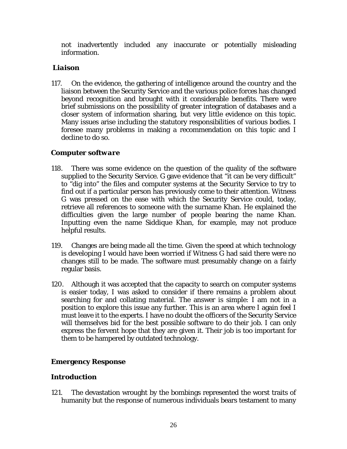not inadvertently included any inaccurate or potentially misleading information.

### *Liaison*

117. On the evidence, the gathering of intelligence around the country and the liaison between the Security Service and the various police forces has changed beyond recognition and brought with it considerable benefits. There were brief submissions on the possibility of greater integration of databases and a closer system of information sharing, but very little evidence on this topic. Many issues arise including the statutory responsibilities of various bodies. I foresee many problems in making a recommendation on this topic and I decline to do so.

### *Computer software*

- 118. There was some evidence on the question of the quality of the software supplied to the Security Service. G gave evidence that "it can be very difficult" to "dig into" the files and computer systems at the Security Service to try to find out if a particular person has previously come to their attention. Witness G was pressed on the ease with which the Security Service could, today, retrieve all references to someone with the surname Khan. He explained the difficulties given the large number of people bearing the name Khan. Inputting even the name Siddique Khan, for example, may not produce helpful results.
- 119. Changes are being made all the time. Given the speed at which technology is developing I would have been worried if Witness G had said there were no changes still to be made. The software must presumably change on a fairly regular basis.
- 120. Although it was accepted that the capacity to search on computer systems is easier today, I was asked to consider if there remains a problem about searching for and collating material. The answer is simple: I am not in a position to explore this issue any further. This is an area where I again feel I must leave it to the experts. I have no doubt the officers of the Security Service will themselves bid for the best possible software to do their job. I can only express the fervent hope that they are given it. Their job is too important for them to be hampered by outdated technology.

### **Emergency Response**

### *Introduction*

121. The devastation wrought by the bombings represented the worst traits of humanity but the response of numerous individuals bears testament to many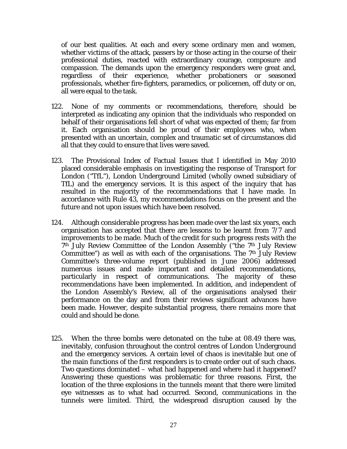of our best qualities. At each and every scene ordinary men and women, whether victims of the attack, passers by or those acting in the course of their professional duties, reacted with extraordinary courage, composure and compassion. The demands upon the emergency responders were great and, regardless of their experience, whether probationers or seasoned professionals, whether fire-fighters, paramedics, or policemen, off duty or on, all were equal to the task.

- 122. None of my comments or recommendations, therefore, should be interpreted as indicating any opinion that the individuals who responded on behalf of their organisations fell short of what was expected of them; far from it. Each organisation should be proud of their employees who, when presented with an uncertain, complex and traumatic set of circumstances did all that they could to ensure that lives were saved.
- 123. The Provisional Index of Factual Issues that I identified in May 2010 placed considerable emphasis on investigating the response of Transport for London ("TfL"), London Underground Limited (wholly owned subsidiary of TfL) and the emergency services. It is this aspect of the inquiry that has resulted in the majority of the recommendations that I have made. In accordance with Rule 43, my recommendations focus on the present and the future and not upon issues which have been resolved.
- 124. Although considerable progress has been made over the last six years, each organisation has accepted that there are lessons to be learnt from 7/7 and improvements to be made. Much of the credit for such progress rests with the 7th July Review Committee of the London Assembly ("the 7th July Review Committee") as well as with each of the organisations. The  $7<sup>th</sup>$  July Review Committee's three-volume report (published in June 2006) addressed numerous issues and made important and detailed recommendations, particularly in respect of communications. The majority of these recommendations have been implemented. In addition, and independent of the London Assembly's Review, all of the organisations analysed their performance on the day and from their reviews significant advances have been made. However, despite substantial progress, there remains more that could and should be done.
- 125. When the three bombs were detonated on the tube at 08.49 there was, inevitably, confusion throughout the control centres of London Underground and the emergency services. A certain level of chaos is inevitable but one of the main functions of the first responders is to create order out of such chaos. Two questions dominated – what had happened and where had it happened? Answering these questions was problematic for three reasons. First, the location of the three explosions in the tunnels meant that there were limited eye witnesses as to what had occurred. Second, communications in the tunnels were limited. Third, the widespread disruption caused by the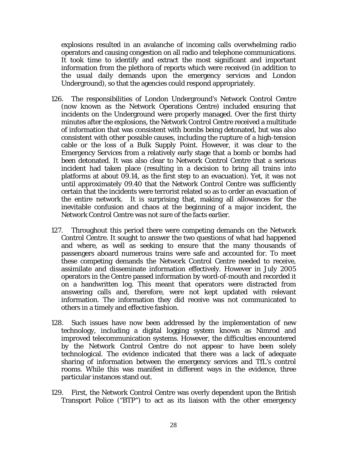explosions resulted in an avalanche of incoming calls overwhelming radio operators and causing congestion on all radio and telephone communications. It took time to identify and extract the most significant and important information from the plethora of reports which were received (in addition to the usual daily demands upon the emergency services and London Underground), so that the agencies could respond appropriately.

- 126. The responsibilities of London Underground's Network Control Centre (now known as the Network Operations Centre) included ensuring that incidents on the Underground were properly managed. Over the first thirty minutes after the explosions, the Network Control Centre received a multitude of information that was consistent with bombs being detonated, but was also consistent with other possible causes, including the rupture of a high-tension cable or the loss of a Bulk Supply Point. However, it was clear to the Emergency Services from a relatively early stage that a bomb or bombs had been detonated. It was also clear to Network Control Centre that a serious incident had taken place (resulting in a decision to bring all trains into platforms at about 09.14, as the first step to an evacuation). Yet, it was not until approximately 09.40 that the Network Control Centre was sufficiently certain that the incidents were terrorist related so as to order an evacuation of the entire network. It is surprising that, making all allowances for the inevitable confusion and chaos at the beginning of a major incident, the Network Control Centre was not sure of the facts earlier.
- 127. Throughout this period there were competing demands on the Network Control Centre. It sought to answer the two questions of what had happened and where, as well as seeking to ensure that the many thousands of passengers aboard numerous trains were safe and accounted for. To meet these competing demands the Network Control Centre needed to receive, assimilate and disseminate information effectively. However in July 2005 operators in the Centre passed information by word-of-mouth and recorded it on a handwritten log. This meant that operators were distracted from answering calls and, therefore, were not kept updated with relevant information. The information they did receive was not communicated to others in a timely and effective fashion.
- 128. Such issues have now been addressed by the implementation of new technology, including a digital logging system known as Nimrod and improved telecommunication systems. However, the difficulties encountered by the Network Control Centre do not appear to have been solely technological. The evidence indicated that there was a lack of adequate sharing of information between the emergency services and TfL's control rooms. While this was manifest in different ways in the evidence, three particular instances stand out.
- 129. First, the Network Control Centre was overly dependent upon the British Transport Police ("BTP") to act as its liaison with the other emergency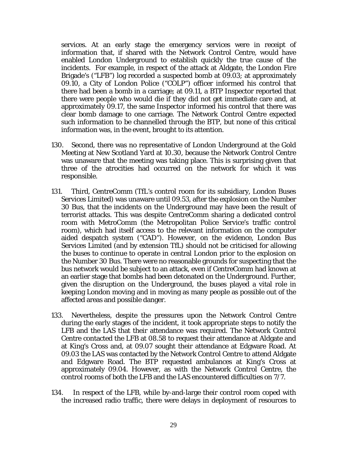services. At an early stage the emergency services were in receipt of information that, if shared with the Network Control Centre, would have enabled London Underground to establish quickly the true cause of the incidents. For example, in respect of the attack at Aldgate, the London Fire Brigade's ("LFB") log recorded a suspected bomb at 09.03; at approximately 09.10, a City of London Police ("COLP") officer informed his control that there had been a bomb in a carriage; at 09.11, a BTP Inspector reported that there were people who would die if they did not get immediate care and, at approximately 09.17, the same Inspector informed his control that there was clear bomb damage to one carriage. The Network Control Centre expected such information to be channelled through the BTP, but none of this critical information was, in the event, brought to its attention.

- 130. Second, there was no representative of London Underground at the Gold Meeting at New Scotland Yard at 10.30, because the Network Control Centre was unaware that the meeting was taking place. This is surprising given that three of the atrocities had occurred on the network for which it was responsible.
- 131. Third, CentreComm (TfL's control room for its subsidiary, London Buses Services Limited) was unaware until 09.53, after the explosion on the Number 30 Bus, that the incidents on the Underground may have been the result of terrorist attacks. This was despite CentreComm sharing a dedicated control room with MetroComm (the Metropolitan Police Service's traffic control room), which had itself access to the relevant information on the computer aided despatch system ("CAD"). However, on the evidence, London Bus Services Limited (and by extension TfL) should not be criticised for allowing the buses to continue to operate in central London prior to the explosion on the Number 30 Bus. There were no reasonable grounds for suspecting that the bus network would be subject to an attack, even if CentreComm had known at an earlier stage that bombs had been detonated on the Underground. Further, given the disruption on the Underground, the buses played a vital role in keeping London moving and in moving as many people as possible out of the affected areas and possible danger.
- 133. Nevertheless, despite the pressures upon the Network Control Centre during the early stages of the incident, it took appropriate steps to notify the LFB and the LAS that their attendance was required. The Network Control Centre contacted the LFB at 08.58 to request their attendance at Aldgate and at King's Cross and, at 09.07 sought their attendance at Edgware Road. At 09.03 the LAS was contacted by the Network Control Centre to attend Aldgate and Edgware Road. The BTP requested ambulances at King's Cross at approximately 09.04. However, as with the Network Control Centre, the control rooms of both the LFB and the LAS encountered difficulties on 7/7.
- 134. In respect of the LFB, while by-and-large their control room coped with the increased radio traffic, there were delays in deployment of resources to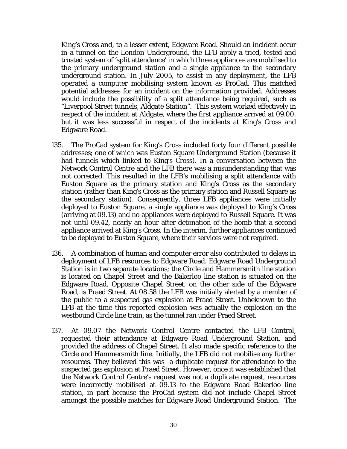King's Cross and, to a lesser extent, Edgware Road. Should an incident occur in a tunnel on the London Underground, the LFB apply a tried, tested and trusted system of 'split attendance' in which three appliances are mobilised to the primary underground station and a single appliance to the secondary underground station. In July 2005, to assist in any deployment, the LFB operated a computer mobilising system known as ProCad. This matched potential addresses for an incident on the information provided. Addresses would include the possibility of a split attendance being required, such as "Liverpool Street tunnels, Aldgate Station". This system worked effectively in respect of the incident at Aldgate, where the first appliance arrived at 09.00, but it was less successful in respect of the incidents at King's Cross and Edgware Road.

- 135. The ProCad system for King's Cross included forty four different possible addresses; one of which was Euston Square Underground Station (because it had tunnels which linked to King's Cross). In a conversation between the Network Control Centre and the LFB there was a misunderstanding that was not corrected. This resulted in the LFB's mobilising a split attendance with Euston Square as the primary station and King's Cross as the secondary station (rather than King's Cross as the primary station and Russell Square as the secondary station). Consequently, three LFB appliances were initially deployed to Euston Square, a single appliance was deployed to King's Cross (arriving at 09.13) and no appliances were deployed to Russell Square. It was not until 09.42, nearly an hour after detonation of the bomb that a second appliance arrived at King's Cross. In the interim, further appliances continued to be deployed to Euston Square, where their services were not required.
- 136. A combination of human and computer error also contributed to delays in deployment of LFB resources to Edgware Road. Edgware Road Underground Station is in two separate locations; the Circle and Hammersmith line station is located on Chapel Street and the Bakerloo line station is situated on the Edgware Road. Opposite Chapel Street, on the other side of the Edgware Road, is Praed Street. At 08.58 the LFB was initially alerted by a member of the public to a suspected gas explosion at Praed Street. Unbeknown to the LFB at the time this reported explosion was actually the explosion on the westbound Circle line train, as the tunnel ran under Praed Street.
- 137. At 09.07 the Network Control Centre contacted the LFB Control, requested their attendance at Edgware Road Underground Station, and provided the address of Chapel Street. It also made specific reference to the Circle and Hammersmith line. Initially, the LFB did not mobilise any further resources. They believed this was a duplicate request for attendance to the suspected gas explosion at Praed Street. However, once it was established that the Network Control Centre's request was not a duplicate request, resources were incorrectly mobilised at 09.13 to the Edgware Road Bakerloo line station, in part because the ProCad system did not include Chapel Street amongst the possible matches for Edgware Road Underground Station. The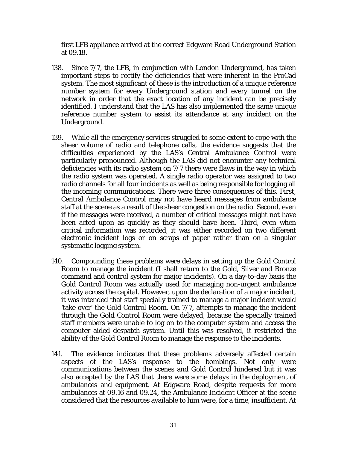first LFB appliance arrived at the correct Edgware Road Underground Station at 09.18.

- 138. Since 7/7, the LFB, in conjunction with London Underground, has taken important steps to rectify the deficiencies that were inherent in the ProCad system. The most significant of these is the introduction of a unique reference number system for every Underground station and every tunnel on the network in order that the exact location of any incident can be precisely identified. I understand that the LAS has also implemented the same unique reference number system to assist its attendance at any incident on the Underground.
- 139. While all the emergency services struggled to some extent to cope with the sheer volume of radio and telephone calls, the evidence suggests that the difficulties experienced by the LAS's Central Ambulance Control were particularly pronounced. Although the LAS did not encounter any technical deficiencies with its radio system on 7/7 there were flaws in the way in which the radio system was operated. A single radio operator was assigned to two radio channels for all four incidents as well as being responsible for logging all the incoming communications. There were three consequences of this. First, Central Ambulance Control may not have heard messages from ambulance staff at the scene as a result of the sheer congestion on the radio. Second, even if the messages were received, a number of critical messages might not have been acted upon as quickly as they should have been. Third, even when critical information was recorded, it was either recorded on two different electronic incident logs or on scraps of paper rather than on a singular systematic logging system.
- 140. Compounding these problems were delays in setting up the Gold Control Room to manage the incident (I shall return to the Gold, Silver and Bronze command and control system for major incidents). On a day-to-day basis the Gold Control Room was actually used for managing non-urgent ambulance activity across the capital. However, upon the declaration of a major incident, it was intended that staff specially trained to manage a major incident would 'take over' the Gold Control Room. On 7/7, attempts to manage the incident through the Gold Control Room were delayed, because the specially trained staff members were unable to log on to the computer system and access the computer aided despatch system. Until this was resolved, it restricted the ability of the Gold Control Room to manage the response to the incidents.
- 141. The evidence indicates that these problems adversely affected certain aspects of the LAS's response to the bombings. Not only were communications between the scenes and Gold Control hindered but it was also accepted by the LAS that there were some delays in the deployment of ambulances and equipment. At Edgware Road, despite requests for more ambulances at 09.16 and 09.24, the Ambulance Incident Officer at the scene considered that the resources available to him were, for a time, insufficient. At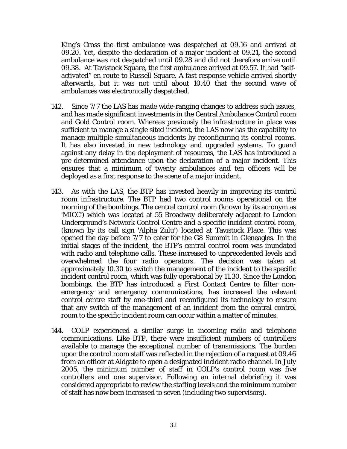King's Cross the first ambulance was despatched at 09.16 and arrived at 09.20. Yet, despite the declaration of a major incident at 09.21, the second ambulance was not despatched until 09.28 and did not therefore arrive until 09.38. At Tavistock Square, the first ambulance arrived at 09.57. It had "selfactivated" en route to Russell Square. A fast response vehicle arrived shortly afterwards, but it was not until about 10.40 that the second wave of ambulances was electronically despatched.

- 142. Since 7/7 the LAS has made wide-ranging changes to address such issues, and has made significant investments in the Central Ambulance Control room and Gold Control room. Whereas previously the infrastructure in place was sufficient to manage a single sited incident, the LAS now has the capability to manage multiple simultaneous incidents by reconfiguring its control rooms. It has also invested in new technology and upgraded systems. To guard against any delay in the deployment of resources, the LAS has introduced a pre-determined attendance upon the declaration of a major incident. This ensures that a minimum of twenty ambulances and ten officers will be deployed as a first response to the scene of a major incident.
- 143. As with the LAS, the BTP has invested heavily in improving its control room infrastructure. The BTP had two control rooms operational on the morning of the bombings. The central control room (known by its acronym as 'MICC') which was located at 55 Broadway deliberately adjacent to London Underground's Network Control Centre and a specific incident control room, (known by its call sign 'Alpha Zulu') located at Tavistock Place. This was opened the day before 7/7 to cater for the G8 Summit in Gleneagles. In the initial stages of the incident, the BTP's central control room was inundated with radio and telephone calls. These increased to unprecedented levels and overwhelmed the four radio operators. The decision was taken at approximately 10.30 to switch the management of the incident to the specific incident control room, which was fully operational by 11.30. Since the London bombings, the BTP has introduced a First Contact Centre to filter nonemergency and emergency communications, has increased the relevant control centre staff by one-third and reconfigured its technology to ensure that any switch of the management of an incident from the central control room to the specific incident room can occur within a matter of minutes.
- 144. COLP experienced a similar surge in incoming radio and telephone communications. Like BTP, there were insufficient numbers of controllers available to manage the exceptional number of transmissions. The burden upon the control room staff was reflected in the rejection of a request at 09.46 from an officer at Aldgate to open a designated incident radio channel. In July 2005, the minimum number of staff in COLP's control room was five controllers and one supervisor. Following an internal debriefing it was considered appropriate to review the staffing levels and the minimum number of staff has now been increased to seven (including two supervisors).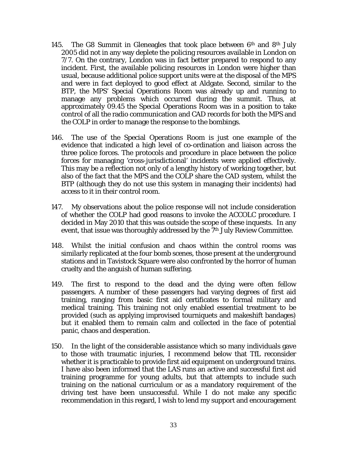- 145. The G8 Summit in Gleneagles that took place between  $6<sup>th</sup>$  and  $8<sup>th</sup>$  July 2005 did not in any way deplete the policing resources available in London on 7/7. On the contrary, London was in fact better prepared to respond to any incident. First, the available policing resources in London were higher than usual, because additional police support units were at the disposal of the MPS and were in fact deployed to good effect at Aldgate. Second, similar to the BTP, the MPS' Special Operations Room was already up and running to manage any problems which occurred during the summit. Thus, at approximately 09.45 the Special Operations Room was in a position to take control of all the radio communication and CAD records for both the MPS and the COLP in order to manage the response to the bombings.
- 146. The use of the Special Operations Room is just one example of the evidence that indicated a high level of co-ordination and liaison across the three police forces. The protocols and procedure in place between the police forces for managing 'cross-jurisdictional' incidents were applied effectively. This may be a reflection not only of a lengthy history of working together, but also of the fact that the MPS and the COLP share the CAD system, whilst the BTP (although they do not use this system in managing their incidents) had access to it in their control room.
- 147. My observations about the police response will not include consideration of whether the COLP had good reasons to invoke the ACCOLC procedure. I decided in May 2010 that this was outside the scope of these inquests. In any event, that issue was thoroughly addressed by the 7<sup>th</sup> July Review Committee.
- 148. Whilst the initial confusion and chaos within the control rooms was similarly replicated at the four bomb scenes, those present at the underground stations and in Tavistock Square were also confronted by the horror of human cruelty and the anguish of human suffering.
- 149. The first to respond to the dead and the dying were often fellow passengers. A number of these passengers had varying degrees of first aid training, ranging from basic first aid certificates to formal military and medical training. This training not only enabled essential treatment to be provided (such as applying improvised tourniquets and makeshift bandages) but it enabled them to remain calm and collected in the face of potential panic, chaos and desperation.
- 150. In the light of the considerable assistance which so many individuals gave to those with traumatic injuries, I recommend below that TfL reconsider whether it is practicable to provide first aid equipment on underground trains. I have also been informed that the LAS runs an active and successful first aid training programme for young adults, but that attempts to include such training on the national curriculum or as a mandatory requirement of the driving test have been unsuccessful. While I do not make any specific recommendation in this regard, I wish to lend my support and encouragement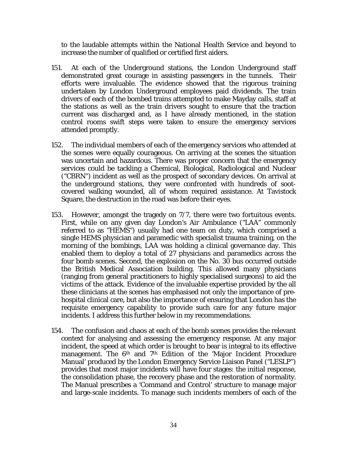increase the number of qualified or certified first aiders. to the laudable attempts within the National Health Service and beyond to

- 151. At each of the Underground stations, the London Underground staff demonstrated great courage in assisting passengers in the tunnels. Their efforts were invaluable. The evidence showed that the rigorous training undertaken by London Underground employees paid dividends. The train drivers of each of the bombed trains attempted to make Mayday calls, staff at the stations as well as the train drivers sought to ensure that the traction current was discharged and, as I have already mentioned, in the station control rooms swift steps were taken to ensure the emergency services attended promptly.
- 152. The individual members of each of the emergency services who attended at the scenes were equally courageous. On arriving at the scenes the situation was uncertain and hazardous. There was proper concern that the emergency services could be tackling a Chemical, Biological, Radiological and Nuclear ("CBRN") incident as well as the prospect of secondary devices. On arrival at the underground stations, they were confronted with hundreds of sootcovered walking wounded, all of whom required assistance. At Tavistock Square, the destruction in the road was before their eyes.
- 153. However, amongst the tragedy on 7/7, there were two fortuitous events. First, while on any given day London's Air Ambulance ("LAA" commonly referred to as "HEMS") usually had one team on duty, which comprised a single HEMS physician and paramedic with specialist trauma training, on the morning of the bombings, LAA was holding a clinical governance day. This enabled them to deploy a total of 27 physicians and paramedics across the four bomb scenes. Second, the explosion on the No. 30 bus occurred outside the British Medical Association building. This allowed many physicians (ranging from general practitioners to highly specialised surgeons) to aid the victims of the attack. Evidence of the invaluable expertise provided by the all these clinicians at the scenes has emphasised not only the importance of prehospital clinical care, but also the importance of ensuring that London has the requisite emergency capability to provide such care for any future major incidents. I address this further below in my recommendations.
- 154. The confusion and chaos at each of the bomb scenes provides the relevant context for analysing and assessing the emergency response. At any major incident, the speed at which order is brought to bear is integral to its effective management. The 6<sup>th</sup> and 7<sup>th</sup> Edition of the 'Major Incident Procedure Manual' produced by the London Emergency Service Liaison Panel ("LESLP") provides that most major incidents will have four stages: the initial response, the consolidation phase, the recovery phase and the restoration of normality. The Manual prescribes a 'Command and Control' structure to manage major and large-scale incidents. To manage such incidents members of each of the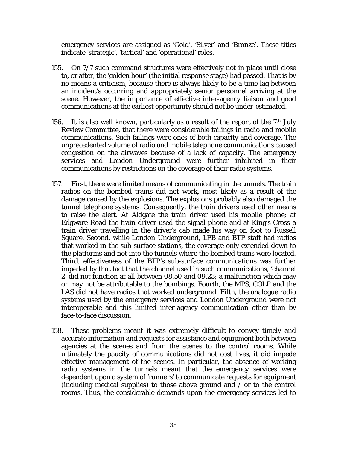emergency services are assigned as 'Gold', 'Silver' and 'Bronze'. These titles indicate 'strategic', 'tactical' and 'operational' roles.

- 155. On 7/7 such command structures were effectively not in place until close to, or after, the 'golden hour' (the initial response stage) had passed. That is by no means a criticism, because there is always likely to be a time lag between an incident's occurring and appropriately senior personnel arriving at the scene. However, the importance of effective inter-agency liaison and good communications at the earliest opportunity should not be under-estimated.
- 156. It is also well known, particularly as a result of the report of the  $7<sup>th</sup>$  July Review Committee, that there were considerable failings in radio and mobile communications. Such failings were ones of both capacity and coverage. The unprecedented volume of radio and mobile telephone communications caused congestion on the airwaves because of a lack of capacity. The emergency services and London Underground were further inhibited in their communications by restrictions on the coverage of their radio systems.
- 157. First, there were limited means of communicating in the tunnels. The train radios on the bombed trains did not work, most likely as a result of the damage caused by the explosions. The explosions probably also damaged the tunnel telephone systems. Consequently, the train drivers used other means to raise the alert. At Aldgate the train driver used his mobile phone; at Edgware Road the train driver used the signal phone and at King's Cross a train driver travelling in the driver's cab made his way on foot to Russell Square. Second, while London Underground, LFB and BTP staff had radios that worked in the sub-surface stations, the coverage only extended down to the platforms and not into the tunnels where the bombed trains were located. Third, effectiveness of the BTP's sub-surface communications was further impeded by that fact that the channel used in such communications, 'channel 2' did not function at all between 08.50 and 09.23; a malfunction which may or may not be attributable to the bombings. Fourth, the MPS, COLP and the LAS did not have radios that worked underground. Fifth, the analogue radio systems used by the emergency services and London Underground were not interoperable and this limited inter-agency communication other than by face-to-face discussion.
- 158. These problems meant it was extremely difficult to convey timely and accurate information and requests for assistance and equipment both between agencies at the scenes and from the scenes to the control rooms. While ultimately the paucity of communications did not cost lives, it did impede effective management of the scenes. In particular, the absence of working radio systems in the tunnels meant that the emergency services were dependent upon a system of 'runners' to communicate requests for equipment (including medical supplies) to those above ground and / or to the control rooms. Thus, the considerable demands upon the emergency services led to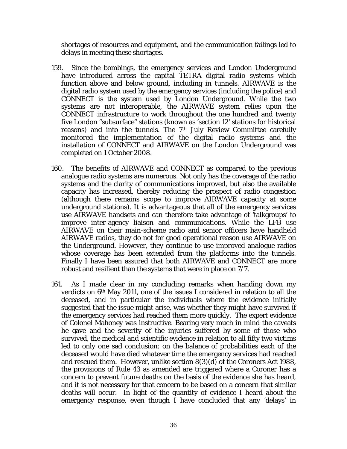shortages of resources and equipment, and the communication failings led to delays in meeting these shortages.

- 159. Since the bombings, the emergency services and London Underground have introduced across the capital TETRA digital radio systems which function above and below ground, including in tunnels. AIRWAVE is the digital radio system used by the emergency services (including the police) and CONNECT is the system used by London Underground. While the two systems are not interoperable, the AIRWAVE system relies upon the CONNECT infrastructure to work throughout the one hundred and twenty five London "subsurface" stations (known as 'section 12' stations for historical reasons) and into the tunnels. The 7th July Review Committee carefully monitored the implementation of the digital radio systems and the installation of CONNECT and AIRWAVE on the London Underground was completed on 1 October 2008.
- 160. The benefits of AIRWAVE and CONNECT as compared to the previous analogue radio systems are numerous. Not only has the coverage of the radio systems and the clarity of communications improved, but also the available capacity has increased, thereby reducing the prospect of radio congestion (although there remains scope to improve AIRWAVE capacity at some underground stations). It is advantageous that all of the emergency services use AIRWAVE handsets and can therefore take advantage of 'talkgroups' to improve inter-agency liaison and communications. While the LFB use AIRWAVE on their main-scheme radio and senior officers have handheld AIRWAVE radios, they do not for good operational reason use AIRWAVE on the Underground. However, they continue to use improved analogue radios whose coverage has been extended from the platforms into the tunnels. Finally I have been assured that both AIRWAVE and CONNECT are more robust and resilient than the systems that were in place on 7/7.
- 161. As I made clear in my concluding remarks when handing down my verdicts on 6th May 2011, one of the issues I considered in relation to all the deceased, and in particular the individuals where the evidence initially suggested that the issue might arise, was whether they might have survived if the emergency services had reached them more quickly. The expert evidence of Colonel Mahoney was instructive. Bearing very much in mind the caveats he gave and the severity of the injuries suffered by some of those who survived, the medical and scientific evidence in relation to all fifty two victims led to only one sad conclusion: on the balance of probabilities each of the deceased would have died whatever time the emergency services had reached and rescued them. However, unlike section 8(3)(d) of the Coroners Act 1988, the provisions of Rule 43 as amended are triggered where a Coroner has a concern to prevent future deaths on the basis of the evidence she has heard, and it is not necessary for that concern to be based on a concern that similar deaths will occur. In light of the quantity of evidence I heard about the emergency response, even though I have concluded that any 'delays' in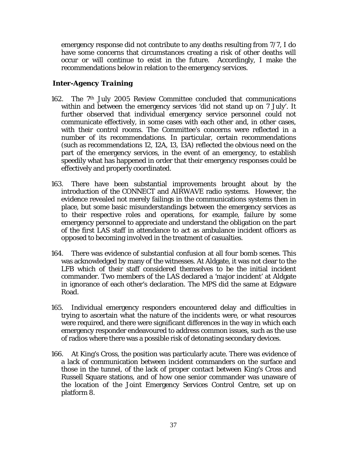emergency response did not contribute to any deaths resulting from 7/7, I do have some concerns that circumstances creating a risk of other deaths will occur or will continue to exist in the future. Accordingly, I make the recommendations below in relation to the emergency services.

### *Inter-Agency Training*

- 162. The 7<sup>th</sup> July 2005 Review Committee concluded that communications within and between the emergency services 'did not stand up on 7 July'. It further observed that individual emergency service personnel could not communicate effectively, in some cases with each other and, in other cases, with their control rooms. The Committee's concerns were reflected in a number of its recommendations. In particular, certain recommendations (such as recommendations 12, 12A, 13, 13A) reflected the obvious need on the part of the emergency services, in the event of an emergency, to establish speedily what has happened in order that their emergency responses could be effectively and properly coordinated.
- 163. There have been substantial improvements brought about by the introduction of the CONNECT and AIRWAVE radio systems. However, the evidence revealed not merely failings in the communications systems then in place, but some basic misunderstandings between the emergency services as to their respective roles and operations, for example, failure by some emergency personnel to appreciate and understand the obligation on the part of the first LAS staff in attendance to act as ambulance incident officers as opposed to becoming involved in the treatment of casualties.
- 164. There was evidence of substantial confusion at all four bomb scenes. This was acknowledged by many of the witnesses. At Aldgate, it was not clear to the LFB which of their staff considered themselves to be the initial incident commander. Two members of the LAS declared a 'major incident' at Aldgate in ignorance of each other's declaration. The MPS did the same at Edgware Road.
- 165. Individual emergency responders encountered delay and difficulties in trying to ascertain what the nature of the incidents were, or what resources were required, and there were significant differences in the way in which each emergency responder endeavoured to address common issues, such as the use of radios where there was a possible risk of detonating secondary devices.
- platform 8. 166. At King's Cross, the position was particularly acute. There was evidence of a lack of communication between incident commanders on the surface and those in the tunnel, of the lack of proper contact between King's Cross and Russell Square stations, and of how one senior commander was unaware of the location of the Joint Emergency Services Control Centre, set up on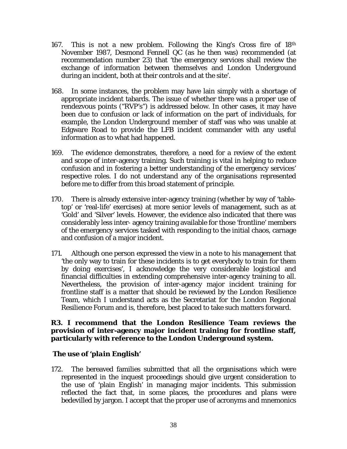- 167. This is not a new problem. Following the King's Cross fire of  $18<sup>th</sup>$ November 1987, Desmond Fennell QC (as he then was) recommended (at recommendation number 23) that 'the emergency services shall review the exchange of information between themselves and London Underground during an incident, both at their controls and at the site'.
- 168. In some instances, the problem may have lain simply with a shortage of appropriate incident tabards. The issue of whether there was a proper use of rendezvous points ("RVP's") is addressed below. In other cases, it may have been due to confusion or lack of information on the part of individuals, for example, the London Underground member of staff was who was unable at Edgware Road to provide the LFB incident commander with any useful information as to what had happened.
- 169. The evidence demonstrates, therefore, a need for a review of the extent and scope of inter-agency training. Such training is vital in helping to reduce confusion and in fostering a better understanding of the emergency services' respective roles. I do not understand any of the organisations represented before me to differ from this broad statement of principle.
- 170. There is already extensive inter-agency training (whether by way of 'tabletop' or 'real-life' exercises) at more senior levels of management, such as at 'Gold' and 'Silver' levels. However, the evidence also indicated that there was considerably less inter- agency training available for those 'frontline' members of the emergency services tasked with responding to the initial chaos, carnage and confusion of a major incident.
- 171. Although one person expressed the view in a note to his management that 'the only way to train for these incidents is to get everybody to train for them by doing exercises', I acknowledge the very considerable logistical and financial difficulties in extending comprehensive inter-agency training to all. Nevertheless, the provision of inter-agency major incident training for frontline staff is a matter that should be reviewed by the London Resilience Team, which I understand acts as the Secretariat for the London Regional Resilience Forum and is, therefore, best placed to take such matters forward.

#### **R3. I recommend that the London Resilience Team reviews the provision of inter-agency major incident training for frontline staff, particularly with reference to the London Underground system.**

### *The use of 'plain English'*

172. The bereaved families submitted that all the organisations which were represented in the inquest proceedings should give urgent consideration to the use of 'plain English' in managing major incidents. This submission reflected the fact that, in some places, the procedures and plans were bedevilled by jargon. I accept that the proper use of acronyms and mnemonics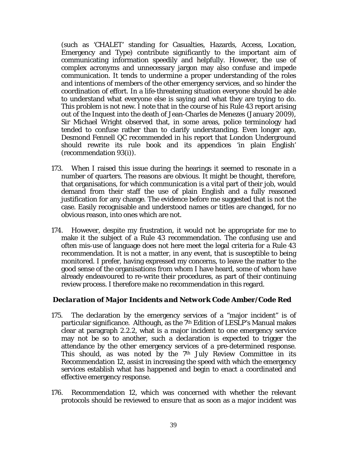(such as 'CHALET' standing for Casualties, Hazards, Access, Location, Emergency and Type) contribute significantly to the important aim of communicating information speedily and helpfully. However, the use of complex acronyms and unnecessary jargon may also confuse and impede communication. It tends to undermine a proper understanding of the roles and intentions of members of the other emergency services, and so hinder the coordination of effort. In a life-threatening situation everyone should be able to understand what everyone else is saying and what they are trying to do. This problem is not new. I note that in the course of his Rule 43 report arising out of the Inquest into the death of Jean-Charles de Menezes (January 2009), Sir Michael Wright observed that, in some areas, police terminology had tended to confuse rather than to clarify understanding. Even longer ago, Desmond Fennell QC recommended in his report that London Underground should rewrite its rule book and its appendices 'in plain English' (recommendation 93(i)).

- 173. When I raised this issue during the hearings it seemed to resonate in a number of quarters. The reasons are obvious. It might be thought, therefore, that organisations, for which communication is a vital part of their job, would demand from their staff the use of plain English and a fully reasoned justification for any change. The evidence before me suggested that is not the case. Easily recognisable and understood names or titles are changed, for no obvious reason, into ones which are not.
- 174. However, despite my frustration, it would not be appropriate for me to make it the subject of a Rule 43 recommendation. The confusing use and often mis-use of language does not here meet the legal criteria for a Rule 43 recommendation. It is not a matter, in any event, that is susceptible to being monitored. I prefer, having expressed my concerns, to leave the matter to the good sense of the organisations from whom I have heard, some of whom have already endeavoured to re-write their procedures, as part of their continuing review process. I therefore make no recommendation in this regard.

### *Declaration of Major Incidents and Network Code Amber/Code Red*

- attendance by the other emergency services of a pre-determined response. 175. The declaration by the emergency services of a "major incident" is of particular significance. Although, as the 7th Edition of LESLP's Manual makes clear at paragraph 2.2.2, what is a major incident to one emergency service may not be so to another, such a declaration is expected to trigger the This should, as was noted by the 7<sup>th</sup> July Review Committee in its Recommendation 12, assist in increasing the speed with which the emergency services establish what has happened and begin to enact a coordinated and effective emergency response.
- 176. Recommendation 12, which was concerned with whether the relevant protocols should be reviewed to ensure that as soon as a major incident was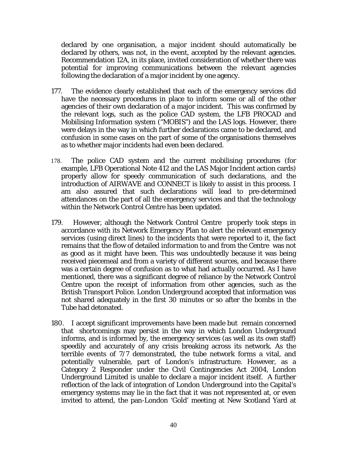declared by one organisation, a major incident should automatically be declared by others, was not, in the event, accepted by the relevant agencies. Recommendation 12A, in its place, invited consideration of whether there was potential for improving communications between the relevant agencies following the declaration of a major incident by one agency.

- 177. The evidence clearly established that each of the emergency services did have the necessary procedures in place to inform some or all of the other agencies of their own declaration of a major incident. This was confirmed by the relevant logs, such as the police CAD system, the LFB PROCAD and Mobilising Information system ("MOBIS") and the LAS logs. However, there were delays in the way in which further declarations came to be declared, and confusion in some cases on the part of some of the organisations themselves as to whether major incidents had even been declared.
- 178. The police CAD system and the current mobilising procedures (for example, LFB Operational Note 412 and the LAS Major Incident action cards) properly allow for speedy communication of such declarations, and the introduction of AIRWAVE and CONNECT is likely to assist in this process. I am also assured that such declarations will lead to pre-determined attendances on the part of all the emergency services and that the technology within the Network Control Centre has been updated.
- 179. However, although the Network Control Centre properly took steps in accordance with its Network Emergency Plan to alert the relevant emergency services (using direct lines) to the incidents that were reported to it, the fact remains that the flow of detailed *information* to and from the Centre was not as good as it might have been. This was undoubtedly because it was being received piecemeal and from a variety of different sources, and because there was a certain degree of confusion as to what had actually occurred. As I have mentioned, there was a significant degree of reliance by the Network Control Centre upon the receipt of information from other agencies, such as the British Transport Police. London Underground accepted that information was not shared adequately in the first 30 minutes or so after the bombs in the Tube had detonated.
- 180. I accept significant improvements have been made but remain concerned that shortcomings may persist in the way in which London Underground informs, and is informed by, the emergency services (as well as its own staff) speedily and accurately of any crisis breaking across its network. As the terrible events of 7/7 demonstrated, the tube network forms a vital, and potentially vulnerable, part of London's infrastructure. However, as a Category 2 Responder under the Civil Contingencies Act 2004, London Underground Limited is unable to declare a major incident itself. A further reflection of the lack of integration of London Underground into the Capital's emergency systems may lie in the fact that it was not represented at, or even invited to attend, the pan-London 'Gold' meeting at New Scotland Yard at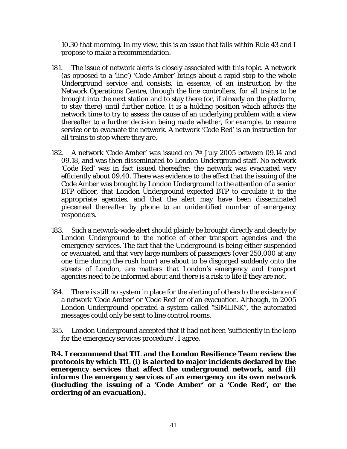10.30 that morning. In my view, this is an issue that falls within Rule 43 and I propose to make a recommendation.

- 181. The issue of network alerts is closely associated with this topic. A network (as opposed to a 'line') 'Code Amber' brings about a rapid stop to the whole Underground service and consists, in essence, of an instruction by the Network Operations Centre, through the line controllers, for all trains to be brought into the next station and to stay there (or, if already on the platform, to stay there) until further notice. It is a holding position which affords the network time to try to assess the cause of an underlying problem with a view thereafter to a further decision being made whether, for example, to resume service or to evacuate the network. A network 'Code Red' is an instruction for all trains to stop where they are.
- 182. A network 'Code Amber' was issued on 7<sup>th</sup> July 2005 between 09.14 and 09.18, and was then disseminated to London Underground staff. No network 'Code Red' was in fact issued thereafter; the network was evacuated very efficiently about 09.40. There was evidence to the effect that the issuing of the Code Amber was brought by London Underground to the attention of a senior BTP officer, that London Underground expected BTP to circulate it to the appropriate agencies, and that the alert may have been disseminated piecemeal thereafter by phone to an unidentified number of emergency responders.
- 183. Such a network-wide alert should plainly be brought directly and clearly by London Underground to the notice of other transport agencies and the emergency services. The fact that the Underground is being either suspended or evacuated, and that very large numbers of passengers (over 250,000 at any one time during the rush hour) are about to be disgorged suddenly onto the streets of London, are matters that London's emergency and transport agencies need to be informed about and there is a risk to life if they are not.
- 184. There is still no system in place for the alerting of others to the existence of a network 'Code Amber' or 'Code Red' or of an evacuation. Although, in 2005 London Underground operated a system called "SIMLINK", the automated messages could only be sent to line control rooms.
- 185. London Underground accepted that it had not been 'sufficiently in the loop for the emergency services procedure'. I agree.

**R4. I recommend that TfL and the London Resilience Team review the protocols by which TfL (i) is alerted to major incidents declared by the emergency services that affect the underground network, and (ii) informs the emergency services of an emergency on its own network (including the issuing of a 'Code Amber' or a 'Code Red', or the ordering of an evacuation).**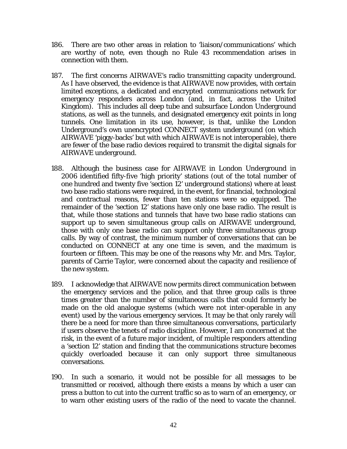- 186. There are two other areas in relation to 'liaison/communications' which are worthy of note, even though no Rule 43 recommendation arises in connection with them.
- 187. The first concerns AIRWAVE's radio transmitting capacity underground. As I have observed, the evidence is that AIRWAVE now provides, with certain limited exceptions, a dedicated and encrypted communications network for emergency responders across London (and, in fact, across the United Kingdom). This includes all deep tube and subsurface London Underground stations, as well as the tunnels, and designated emergency exit points in long tunnels. One limitation in its use, however, is that, unlike the London Underground's own unencrypted CONNECT system underground (on which AIRWAVE 'piggy-backs' but with which AIRWAVE is not interoperable), there are fewer of the base radio devices required to transmit the digital signals for AIRWAVE underground.
- 188. Although the business case for AIRWAVE in London Underground in 2006 identified fifty-five 'high priority' stations (out of the total number of one hundred and twenty five 'section 12' underground stations) where at least two base radio stations were required, in the event, for financial, technological and contractual reasons, fewer than ten stations were so equipped. The remainder of the 'section 12' stations have only one base radio. The result is that, while those stations and tunnels that have two base radio stations can support up to seven simultaneous group calls on AIRWAVE underground, those with only one base radio can support only three simultaneous group calls. By way of contrast, the minimum number of conversations that can be conducted on CONNECT at any one time is seven, and the maximum is fourteen or fifteen. This may be one of the reasons why Mr. and Mrs. Taylor, parents of Carrie Taylor, were concerned about the capacity and resilience of the new system.
- 189. I acknowledge that AIRWAVE now permits direct communication between the emergency services and the police, and that three group calls is three times greater than the number of simultaneous calls that could formerly be made on the old analogue systems (which were not inter-operable in any event) used by the various emergency services. It may be that only rarely will there be a need for more than three simultaneous conversations, particularly if users observe the tenets of radio discipline. However, I am concerned at the risk, in the event of a future major incident, of multiple responders attending a 'section 12' station and finding that the communications structure becomes quickly overloaded because it can only support three simultaneous conversations.
- 190. In such a scenario, it would not be possible for all messages to be transmitted or received, although there exists a means by which a user can press a button to cut into the current traffic so as to warn of an emergency, or to warn other existing users of the radio of the need to vacate the channel.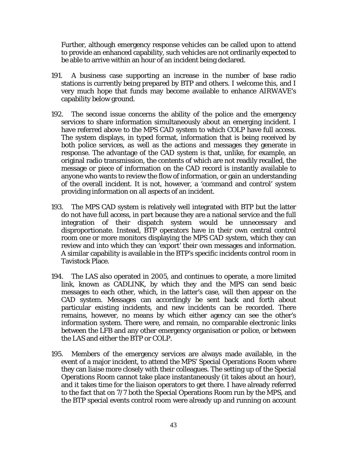Further, although emergency response vehicles can be called upon to attend to provide an enhanced capability, such vehicles are not ordinarily expected to be able to arrive within an hour of an incident being declared.

- 191. A business case supporting an increase in the number of base radio stations is currently being prepared by BTP and others. I welcome this, and I very much hope that funds may become available to enhance AIRWAVE's capability below ground.
- 192. The second issue concerns the ability of the police and the emergency services to share information simultaneously about an emerging incident. I have referred above to the MPS CAD system to which COLP have full access. The system displays, in typed format, information that is being received by both police services, as well as the actions and messages they generate in response. The advantage of the CAD system is that, unlike, for example, an original radio transmission, the contents of which are not readily recalled, the message or piece of information on the CAD record is instantly available to anyone who wants to review the flow of information, or gain an understanding of the overall incident. It is not, however, a 'command and control' system providing information on all aspects of an incident.
- 193. The MPS CAD system is relatively well integrated with BTP but the latter do not have full access, in part because they are a national service and the full integration of their dispatch system would be unnecessary and disproportionate. Instead, BTP operators have in their own central control room one or more monitors displaying the MPS CAD system, which they can review and into which they can 'export' their own messages and information. A similar capability is available in the BTP's specific incidents control room in Tavistock Place.
- 194. The LAS also operated in 2005, and continues to operate, a more limited link, known as CADLINK, by which they and the MPS can send basic messages to each other, which, in the latter's case, will then appear on the CAD system. Messages can accordingly be sent back and forth about particular existing incidents, and new incidents can be recorded. There remains, however, no means by which either agency can see the other's information system. There were, and remain, no comparable electronic links between the LFB and any other emergency organisation or police, or between the LAS and either the BTP or COLP.
- 195. Members of the emergency services are always made available, in the event of a major incident, to attend the MPS' Special Operations Room where they can liaise more closely with their colleagues. The setting up of the Special Operations Room cannot take place instantaneously (it takes about an hour), and it takes time for the liaison operators to get there. I have already referred to the fact that on 7/7 both the Special Operations Room run by the MPS, and the BTP special events control room were already up and running on account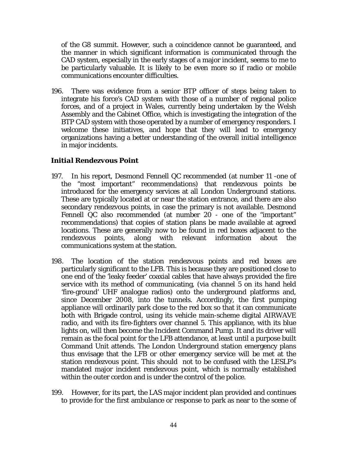of the G8 summit. However, such a coincidence cannot be guaranteed, and the manner in which significant information is communicated through the CAD system, especially in the early stages of a major incident, seems to me to be particularly valuable. It is likely to be even more so if radio or mobile communications encounter difficulties.

196. There was evidence from a senior BTP officer of steps being taken to integrate his force's CAD system with those of a number of regional police forces, and of a project in Wales, currently being undertaken by the Welsh Assembly and the Cabinet Office, which is investigating the integration of the BTP CAD system with those operated by a number of emergency responders. I welcome these initiatives, and hope that they will lead to emergency organizations having a better understanding of the overall initial intelligence in major incidents.

#### *Initial Rendezvous Point*

- 197. In his report, Desmond Fennell QC recommended (at number 11 -one of the "most important" recommendations) that rendezvous points be introduced for the emergency services at all London Underground stations. These are typically located at or near the station entrance, and there are also secondary rendezvous points, in case the primary is not available. Desmond Fennell QC also recommended (at number 20 - one of the "important" recommendations) that copies of station plans be made available at agreed locations. These are generally now to be found in red boxes adjacent to the rendezvous points, along with relevant information about the communications system at the station.
- 198. The location of the station rendezvous points and red boxes are particularly significant to the LFB. This is because they are positioned close to one end of the 'leaky feeder' coaxial cables that have always provided the fire service with its method of communicating, (via channel 5 on its hand held 'fire-ground' UHF analogue radios) onto the underground platforms and, since December 2008, into the tunnels. Accordingly, the first pumping appliance will ordinarily park close to the red box so that it can communicate both with Brigade control, using its vehicle main-scheme digital AIRWAVE radio, and with its fire-fighters over channel 5. This appliance, with its blue lights on, will then become the Incident Command Pump. It and its driver will remain as the focal point for the LFB attendance, at least until a purpose built Command Unit attends. The London Underground station emergency plans thus envisage that the LFB or other emergency service will be met at the station rendezvous point. This should not to be confused with the LESLP's mandated major incident rendezvous point, which is normally established within the outer cordon and is under the control of the police.
- 199. However, for its part, the LAS major incident plan provided and continues to provide for the first ambulance or response to park as near to the scene of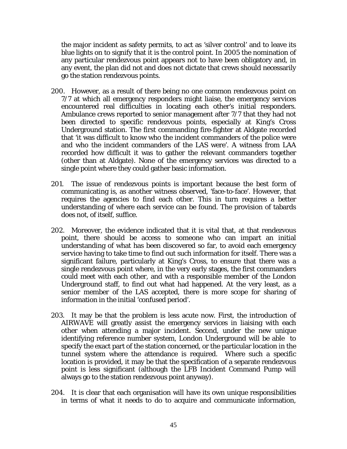the major incident as safety permits, to act as 'silver control' and to leave its blue lights on to signify that it is the control point. In 2005 the nomination of any particular rendezvous point appears not to have been obligatory and, in any event, the plan did not and does not dictate that crews should necessarily go the station rendezvous points.

- 200. However, as a result of there being no one common rendezvous point on 7/7 at which all emergency responders might liaise, the emergency services encountered real difficulties in locating each other's initial responders. Ambulance crews reported to senior management after 7/7 that they had not been directed to specific rendezvous points, especially at King's Cross Underground station. The first commanding fire-fighter at Aldgate recorded that 'it was difficult to know who the incident commanders of the police were and who the incident commanders of the LAS were'. A witness from LAA recorded how difficult it was to gather the relevant commanders together (other than at Aldgate). None of the emergency services was directed to a single point where they could gather basic information.
- 201. The issue of rendezvous points is important because the best form of communicating is, as another witness observed, 'face-to-face'. However, that requires the agencies to find each other. This in turn requires a better understanding of where each service can be found. The provision of tabards does not, of itself, suffice.
- 202. Moreover, the evidence indicated that it is vital that, at that rendezvous point, there should be access to someone who can impart an initial understanding of what has been discovered so far, to avoid each emergency service having to take time to find out such information for itself. There was a significant failure, particularly at King's Cross, to ensure that there was a single rendezvous point where, in the very early stages, the first commanders could meet with each other, and with a responsible member of the London Underground staff, to find out what had happened. At the very least, as a senior member of the LAS accepted, there is more scope for sharing of information in the initial 'confused period'.
- 203. It may be that the problem is less acute now. First, the introduction of AIRWAVE will greatly assist the emergency services in liaising with each other when attending a major incident. Second, under the new unique identifying reference number system, London Underground will be able to specify the exact part of the station concerned, or the particular location in the tunnel system where the attendance is required. Where such a specific location is provided, it may be that the specification of a separate rendezvous point is less significant (although the LFB Incident Command Pump will always go to the station rendezvous point anyway).
- 204. It is clear that each organisation will have its own unique responsibilities in terms of what it needs to do to acquire and communicate information,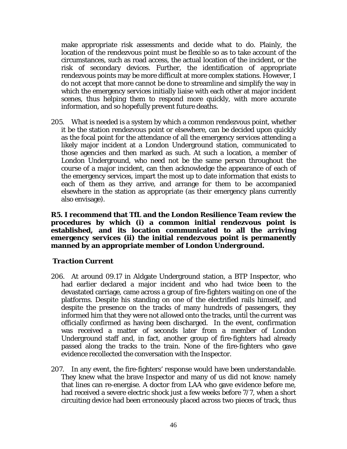make appropriate risk assessments and decide what to do. Plainly, the location of the rendezvous point must be flexible so as to take account of the circumstances, such as road access, the actual location of the incident, or the risk of secondary devices. Further, the identification of appropriate rendezvous points may be more difficult at more complex stations. However, I do not accept that more cannot be done to streamline and simplify the way in which the emergency services initially liaise with each other at major incident scenes, thus helping them to respond more quickly, with more accurate information, and so hopefully prevent future deaths.

205. What is needed is a system by which a common rendezvous point, whether it be the station rendezvous point or elsewhere, can be decided upon quickly as the focal point for the attendance of all the emergency services attending a likely major incident at a London Underground station, communicated to those agencies and then marked as such. At such a location, a member of London Underground, who need not be the same person throughout the course of a major incident, can then acknowledge the appearance of each of the emergency services, impart the most up to date information that exists to each of them as they arrive, and arrange for them to be accompanied elsewhere in the station as appropriate (as their emergency plans currently also envisage).

**R5. I recommend that TfL and the London Resilience Team review the procedures by which (i) a common initial rendezvous point is established, and its location communicated to all the arriving emergency services (ii) the initial rendezvous point is permanently manned by an appropriate member of London Underground.** 

#### *Traction Current*

- 206. At around 09.17 in Aldgate Underground station, a BTP Inspector, who had earlier declared a major incident and who had twice been to the devastated carriage, came across a group of fire-fighters waiting on one of the platforms. Despite his standing on one of the electrified rails himself, and despite the presence on the tracks of many hundreds of passengers, they informed him that they were not allowed onto the tracks, until the current was officially confirmed as having been discharged. In the event, confirmation was received a matter of seconds later from a member of London Underground staff and, in fact, another group of fire-fighters had already passed along the tracks to the train. None of the fire-fighters who gave evidence recollected the conversation with the Inspector.
- 207. In any event, the fire-fighters' response would have been understandable. They knew what the brave Inspector and many of us did not know: namely that lines can re-energise. A doctor from LAA who gave evidence before me, had received a severe electric shock just a few weeks before 7/7, when a short circuiting device had been erroneously placed across two pieces of track, thus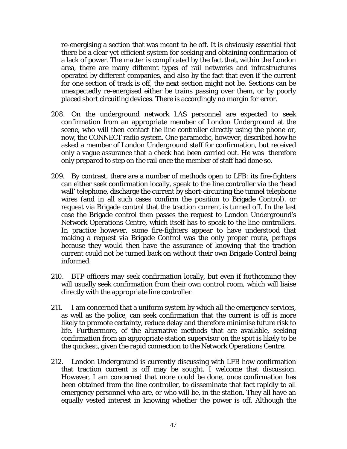re-energising a section that was meant to be off. It is obviously essential that there be a clear yet efficient system for seeking and obtaining confirmation of a lack of power. The matter is complicated by the fact that, within the London area, there are many different types of rail networks and infrastructures operated by different companies, and also by the fact that even if the current for one section of track is off, the next section might not be. Sections can be unexpectedly re-energised either be trains passing over them, or by poorly placed short circuiting devices. There is accordingly no margin for error.

- 208. On the underground network LAS personnel are expected to seek confirmation from an appropriate member of London Underground at the scene, who will then contact the line controller directly using the phone or, now, the CONNECT radio system. One paramedic, however, described how he asked a member of London Underground staff for confirmation, but received only a vague assurance that a check had been carried out. He was therefore only prepared to step on the rail once the member of staff had done so.
- 209. By contrast, there are a number of methods open to LFB: its fire-fighters can either seek confirmation locally, speak to the line controller via the 'head wall' telephone, discharge the current by short-circuiting the tunnel telephone wires (and in all such cases confirm the position to Brigade Control), or request via Brigade control that the traction current is turned off. In the last case the Brigade control then passes the request to London Underground's Network Operations Centre, which itself has to speak to the line controllers. In practice however, some fire-fighters appear to have understood that making a request via Brigade Control was the only proper route, perhaps because they would then have the assurance of knowing that the traction current could not be turned back on without their own Brigade Control being informed.
- 210. BTP officers may seek confirmation locally, but even if forthcoming they will usually seek confirmation from their own control room, which will liaise directly with the appropriate line controller.
- 211. I am concerned that a uniform system by which all the emergency services, as well as the police, can seek confirmation that the current is off is more likely to promote certainty, reduce delay and therefore minimise future risk to life. Furthermore, of the alternative methods that are available, seeking confirmation from an appropriate station supervisor on the spot is likely to be the quickest, given the rapid connection to the Network Operations Centre.
- 212. London Underground is currently discussing with LFB how confirmation that traction current is off may be sought. I welcome that discussion. However, I am concerned that more could be done, once confirmation has been obtained from the line controller, to disseminate that fact rapidly to all emergency personnel who are, or who will be, in the station. They all have an equally vested interest in knowing whether the power is off. Although the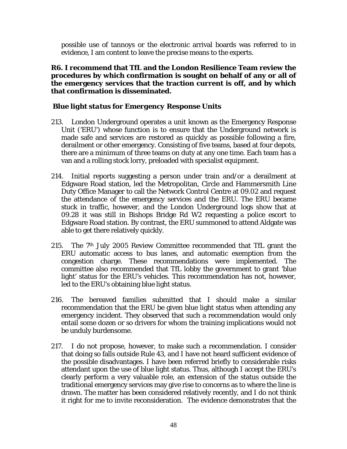possible use of tannoys or the electronic arrival boards was referred to in evidence, I am content to leave the precise means to the experts.

#### **R6. I recommend that TfL and the London Resilience Team review the procedures by which confirmation is sought on behalf of any or all of the emergency services that the traction current is off, and by which that confirmation is disseminated.**

#### *Blue light status for Emergency Response Units*

- 213. London Underground operates a unit known as the Emergency Response Unit ('ERU') whose function is to ensure that the Underground network is made safe and services are restored as quickly as possible following a fire, derailment or other emergency. Consisting of five teams, based at four depots, there are a minimum of three teams on duty at any one time. Each team has a van and a rolling stock lorry, preloaded with specialist equipment.
- 214. Initial reports suggesting a person under train and/or a derailment at Edgware Road station, led the Metropolitan, Circle and Hammersmith Line Duty Office Manager to call the Network Control Centre at 09.02 and request the attendance of the emergency services and the ERU. The ERU became stuck in traffic, however, and the London Underground logs show that at 09.28 it was still in Bishops Bridge Rd W2 requesting a police escort to Edgware Road station. By contrast, the ERU summoned to attend Aldgate was able to get there relatively quickly.
- 215. The 7<sup>th</sup> July 2005 Review Committee recommended that TfL grant the ERU automatic access to bus lanes, and automatic exemption from the congestion charge. These recommendations were implemented. The committee also recommended that TfL lobby the government to grant 'blue light' status for the ERU's vehicles. This recommendation has not, however, led to the ERU's obtaining blue light status.
- 216. The bereaved families submitted that I should make a similar recommendation that the ERU be given blue light status when attending any emergency incident. They observed that such a recommendation would only entail some dozen or so drivers for whom the training implications would not be unduly burdensome.
- 217. I do not propose, however, to make such a recommendation. I consider that doing so falls outside Rule 43, and I have not heard sufficient evidence of the possible disadvantages. I have been referred briefly to considerable risks attendant upon the use of blue light status. Thus, although I accept the ERU's clearly perform a very valuable role, an extension of the status outside the traditional emergency services may give rise to concerns as to where the line is drawn. The matter has been considered relatively recently, and I do not think it right for me to invite reconsideration. The evidence demonstrates that the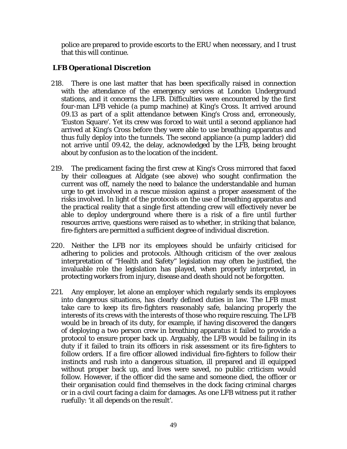police are prepared to provide escorts to the ERU when necessary, and I trust that this will continue.

### *LFB Operational Discretion*

- 218. There is one last matter that has been specifically raised in connection with the attendance of the emergency services at London Underground stations, and it concerns the LFB. Difficulties were encountered by the first four-man LFB vehicle (a pump machine) at King's Cross. It arrived around 09.13 as part of a split attendance between King's Cross and, erroneously, 'Euston Square'. Yet its crew was forced to wait until a second appliance had arrived at King's Cross before they were able to use breathing apparatus and thus fully deploy into the tunnels. The second appliance (a pump ladder) did not arrive until 09.42, the delay, acknowledged by the LFB, being brought about by confusion as to the location of the incident.
- 219. The predicament facing the first crew at King's Cross mirrored that faced by their colleagues at Aldgate (see above) who sought confirmation the current was off, namely the need to balance the understandable and human urge to get involved in a rescue mission against a proper assessment of the risks involved. In light of the protocols on the use of breathing apparatus and the practical reality that a single first attending crew will effectively never be able to deploy underground where there is a risk of a fire until further resources arrive, questions were raised as to whether, in striking that balance, fire-fighters are permitted a sufficient degree of individual discretion.
- 220. Neither the LFB nor its employees should be unfairly criticised for adhering to policies and protocols. Although criticism of the over zealous interpretation of "Health and Safety" legislation may often be justified, the invaluable role the legislation has played, when properly interpreted, in protecting workers from injury, disease and death should not be forgotten.
- 221. Any employer, let alone an employer which regularly sends its employees into dangerous situations, has clearly defined duties in law. The LFB must take care to keep its fire-fighters reasonably safe, balancing properly the interests of its crews with the interests of those who require rescuing. The LFB would be in breach of its duty, for example, if having discovered the dangers of deploying a two person crew in breathing apparatus it failed to provide a protocol to ensure proper back up. Arguably, the LFB would be failing in its duty if it failed to train its officers in risk assessment or its fire-fighters to follow orders. If a fire officer allowed individual fire-fighters to follow their instincts and rush into a dangerous situation, ill prepared and ill equipped without proper back up, and lives were saved, no public criticism would follow. However, if the officer did the same and someone died, the officer or their organisation could find themselves in the dock facing criminal charges or in a civil court facing a claim for damages. As one LFB witness put it rather ruefully: 'it all depends on the result'.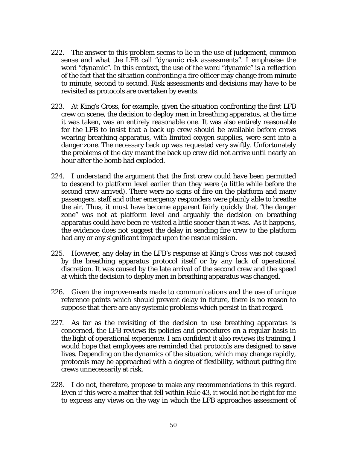- 222. The answer to this problem seems to lie in the use of judgement, common sense and what the LFB call "dynamic risk assessments". I emphasise the word "dynamic". In this context, the use of the word "dynamic" is a reflection of the fact that the situation confronting a fire officer may change from minute to minute, second to second. Risk assessments and decisions may have to be revisited as protocols are overtaken by events.
- 223. At King's Cross, for example, given the situation confronting the first LFB crew on scene, the decision to deploy men in breathing apparatus, at the time it was taken, was an entirely reasonable one. It was also entirely reasonable for the LFB to insist that a back up crew should be available before crews wearing breathing apparatus, with limited oxygen supplies, were sent into a danger zone. The necessary back up was requested very swiftly. Unfortunately the problems of the day meant the back up crew did not arrive until nearly an hour after the bomb had exploded.
- 224. I understand the argument that the first crew could have been permitted to descend to platform level earlier than they were (a little while before the second crew arrived). There were no signs of fire on the platform and many passengers, staff and other emergency responders were plainly able to breathe the air. Thus, it must have become apparent fairly quickly that "the danger zone" was not at platform level and arguably the decision on breathing apparatus could have been re-visited a little sooner than it was. As it happens, the evidence does not suggest the delay in sending fire crew to the platform had any or any significant impact upon the rescue mission.
- 225. However, any delay in the LFB's response at King's Cross was not caused by the breathing apparatus protocol itself or by any lack of operational discretion. It was caused by the late arrival of the second crew and the speed at which the decision to deploy men in breathing apparatus was changed.
- 226. Given the improvements made to communications and the use of unique reference points which should prevent delay in future, there is no reason to suppose that there are any systemic problems which persist in that regard.
- 227. As far as the revisiting of the decision to use breathing apparatus is concerned, the LFB reviews its policies and procedures on a regular basis in the light of operational experience. I am confident it also reviews its training. I would hope that employees are reminded that protocols are designed to save lives. Depending on the dynamics of the situation, which may change rapidly, protocols may be approached with a degree of flexibility, without putting fire crews unnecessarily at risk.
- 228. I do not, therefore, propose to make any recommendations in this regard. Even if this were a matter that fell within Rule 43, it would not be right for me to express any views on the way in which the LFB approaches assessment of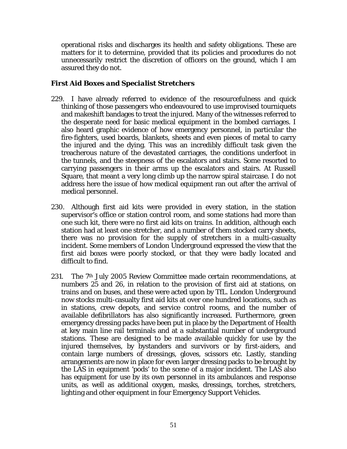operational risks and discharges its health and safety obligations. These are matters for it to determine, provided that its policies and procedures do not unnecessarily restrict the discretion of officers on the ground, which I am assured they do not.

### *First Aid Boxes and Specialist Stretchers*

- 229. I have already referred to evidence of the resourcefulness and quick thinking of those passengers who endeavoured to use improvised tourniquets and makeshift bandages to treat the injured. Many of the witnesses referred to the desperate need for basic medical equipment in the bombed carriages. I also heard graphic evidence of how emergency personnel, in particular the fire-fighters, used boards, blankets, sheets and even pieces of metal to carry the injured and the dying. This was an incredibly difficult task given the treacherous nature of the devastated carriages, the conditions underfoot in the tunnels, and the steepness of the escalators and stairs. Some resorted to carrying passengers in their arms up the escalators and stairs. At Russell Square, that meant a very long climb up the narrow spiral staircase. I do not address here the issue of how medical equipment ran out after the arrival of medical personnel.
- 230. Although first aid kits were provided in every station, in the station supervisor's office or station control room, and some stations had more than one such kit, there were no first aid kits on trains. In addition, although each station had at least one stretcher, and a number of them stocked carry sheets, there was no provision for the supply of stretchers in a multi-casualty incident. Some members of London Underground expressed the view that the first aid boxes were poorly stocked, or that they were badly located and difficult to find.
- 231. The  $7<sup>th</sup>$  July 2005 Review Committee made certain recommendations, at numbers 25 and 26, in relation to the provision of first aid at stations, on trains and on buses, and these were acted upon by TfL. London Underground now stocks multi-casualty first aid kits at over one hundred locations, such as in stations, crew depots, and service control rooms, and the number of available defibrillators has also significantly increased. Furthermore, green emergency dressing packs have been put in place by the Department of Health at key main line rail terminals and at a substantial number of underground stations. These are designed to be made available quickly for use by the injured themselves, by bystanders and survivors or by first-aiders, and contain large numbers of dressings, gloves, scissors etc. Lastly, standing arrangements are now in place for even larger dressing packs to be brought by the LAS in equipment 'pods' to the scene of a major incident. The LAS also has equipment for use by its own personnel in its ambulances and response units, as well as additional oxygen, masks, dressings, torches, stretchers, lighting and other equipment in four Emergency Support Vehicles.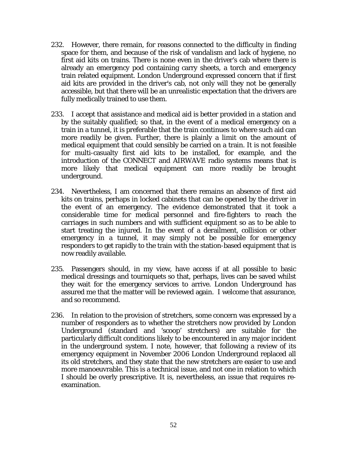- 232. However, there remain, for reasons connected to the difficulty in finding space for them, and because of the risk of vandalism and lack of hygiene, no first aid kits on trains. There is none even in the driver's cab where there is already an emergency pod containing carry sheets, a torch and emergency train related equipment. London Underground expressed concern that if first aid kits are provided in the driver's cab, not only will they not be generally accessible, but that there will be an unrealistic expectation that the drivers are fully medically trained to use them.
- 233. I accept that assistance and medical aid is better provided in a station and by the suitably qualified; so that, in the event of a medical emergency on a train in a tunnel, it is preferable that the train continues to where such aid can more readily be given. Further, there is plainly a limit on the amount of medical equipment that could sensibly be carried on a train. It is not feasible for multi-casualty first aid kits to be installed, for example, and the introduction of the CONNECT and AIRWAVE radio systems means that is more likely that medical equipment can more readily be brought underground.
- 234. Nevertheless, I am concerned that there remains an absence of first aid kits on trains, perhaps in locked cabinets that can be opened by the driver in the event of an emergency. The evidence demonstrated that it took a considerable time for medical personnel and fire-fighters to reach the carriages in such numbers and with sufficient equipment so as to be able to start treating the injured. In the event of a derailment, collision or other emergency in a tunnel, it may simply not be possible for emergency responders to get rapidly to the train with the station-based equipment that is now readily available.
- 235. Passengers should, in my view, have access if at all possible to basic medical dressings and tourniquets so that, perhaps, lives can be saved whilst they wait for the emergency services to arrive. London Underground has assured me that the matter will be reviewed again. I welcome that assurance, and so recommend.
- 236. In relation to the provision of stretchers, some concern was expressed by a number of responders as to whether the stretchers now provided by London Underground (standard and 'scoop' stretchers) are suitable for the particularly difficult conditions likely to be encountered in any major incident in the underground system. I note, however, that following a review of its emergency equipment in November 2006 London Underground replaced all its old stretchers, and they state that the new stretchers are easier to use and more manoeuvrable. This is a technical issue, and not one in relation to which I should be overly prescriptive. It is, nevertheless, an issue that requires reexamination.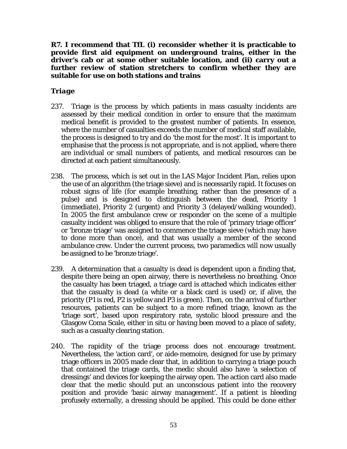**R7. I recommend that TfL (i) reconsider whether it is practicable to provide first aid equipment on underground trains, either in the driver's cab or at some other suitable location, and (ii) carry out a further review of station stretchers to confirm whether they are suitable for use on both stations and trains** 

### *Triage*

- 237. Triage is the process by which patients in mass casualty incidents are assessed by their medical condition in order to ensure that the maximum medical benefit is provided to the greatest number of patients. In essence, where the number of casualties exceeds the number of medical staff available, the process is designed to try and do 'the most for the most'. It is important to emphasise that the process is not appropriate, and is not applied, where there are individual or small numbers of patients, and medical resources can be directed at each patient simultaneously.
- 238. The process, which is set out in the LAS Major Incident Plan, relies upon the use of an algorithm (the triage sieve) and is necessarily rapid. It focuses on robust signs of life (for example breathing, rather than the presence of a pulse) and is designed to distinguish between the dead, Priority 1 (immediate), Priority 2 (urgent) and Priority 3 (delayed/walking wounded). In 2005 the first ambulance crew or responder on the scene of a multiple casualty incident was obliged to ensure that the role of 'primary triage officer' or 'bronze triage' was assigned to commence the triage sieve (which may have to done more than once), and that was usually a member of the second ambulance crew. Under the current process, two paramedics will now usually be assigned to be 'bronze triage'.
- 239. A determination that a casualty is dead is dependent upon a finding that, despite there being an open airway, there is nevertheless no breathing. Once the casualty has been triaged, a triage card is attached which indicates either that the casualty is dead (a white or a black card is used) or, if alive, the priority (P1 is red, P2 is yellow and P3 is green). Then, on the arrival of further resources, patients can be subject to a more refined triage, known as the 'triage sort', based upon respiratory rate, systolic blood pressure and the Glasgow Coma Scale, either in situ or having been moved to a place of safety, such as a casualty clearing station.
- 240. The rapidity of the triage process does not encourage treatment. Nevertheless, the 'action card', or aide-memoire, designed for use by primary triage officers in 2005 made clear that, in addition to carrying a triage pouch that contained the triage cards, the medic should also have 'a selection of dressings' and devices for keeping the airway open. The action card also made clear that the medic should put an unconscious patient into the recovery position and provide 'basic airway management'. If a patient is bleeding profusely externally, a dressing should be applied. This could be done either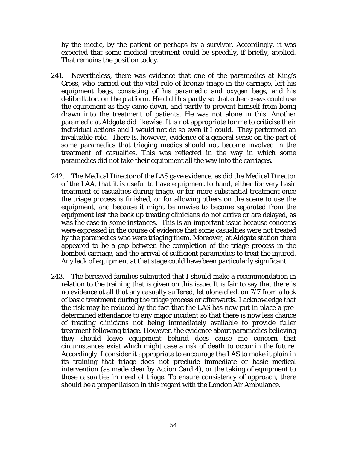by the medic, by the patient or perhaps by a survivor. Accordingly, it was expected that some medical treatment could be speedily, if briefly, applied. That remains the position today.

- 241. Nevertheless, there was evidence that one of the paramedics at King's Cross, who carried out the vital role of bronze triage in the carriage, left his equipment bags, consisting of his paramedic and oxygen bags, and his defibrillator, on the platform. He did this partly so that other crews could use the equipment as they came down, and partly to prevent himself from being drawn into the treatment of patients. He was not alone in this. Another paramedic at Aldgate did likewise. It is not appropriate for me to criticise their individual actions and I would not do so even if I could. They performed an invaluable role. There is, however, evidence of a general sense on the part of some paramedics that triaging medics should not become involved in the treatment of casualties. This was reflected in the way in which some paramedics did not take their equipment all the way into the carriages.
- 242. The Medical Director of the LAS gave evidence, as did the Medical Director of the LAA, that it is useful to have equipment to hand, either for very basic treatment of casualties during triage, or for more substantial treatment once the triage process is finished, or for allowing others on the scene to use the equipment, and because it might be unwise to become separated from the equipment lest the back up treating clinicians do not arrive or are delayed, as was the case in some instances. This is an important issue because concerns were expressed in the course of evidence that some casualties were not treated by the paramedics who were triaging them. Moreover, at Aldgate station there appeared to be a gap between the completion of the triage process in the bombed carriage, and the arrival of sufficient paramedics to treat the injured. Any lack of equipment at that stage could have been particularly significant.
- 243. The bereaved families submitted that I should make a recommendation in relation to the training that is given on this issue. It is fair to say that there is no evidence at all that any casualty suffered, let alone died, on 7/7 from a lack of basic treatment during the triage process or afterwards. I acknowledge that the risk may be reduced by the fact that the LAS has now put in place a predetermined attendance to any major incident so that there is now less chance of treating clinicians not being immediately available to provide fuller treatment following triage. However, the evidence about paramedics believing they should leave equipment behind does cause me concern that circumstances exist which might case a risk of death to occur in the future. Accordingly, I consider it appropriate to encourage the LAS to make it plain in its training that triage does not preclude immediate or basic medical intervention (as made clear by Action Card 4), or the taking of equipment to those casualties in need of triage. To ensure consistency of approach, there should be a proper liaison in this regard with the London Air Ambulance.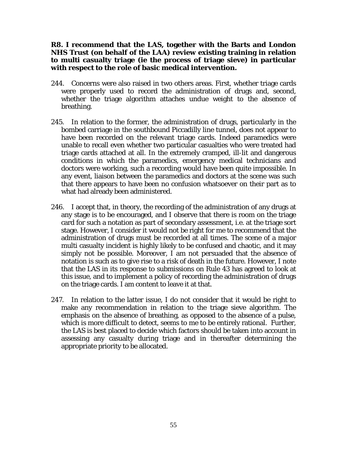#### **R8. I recommend that the LAS, together with the Barts and London NHS Trust (on behalf of the LAA) review existing training in relation to multi casualty triage (ie the process of triage sieve) in particular with respect to the role of basic medical intervention.**

- 244. Concerns were also raised in two others areas. First, whether triage cards were properly used to record the administration of drugs and, second, whether the triage algorithm attaches undue weight to the absence of breathing.
- 245. In relation to the former, the administration of drugs, particularly in the bombed carriage in the southbound Piccadilly line tunnel, does not appear to have been recorded on the relevant triage cards. Indeed paramedics were unable to recall even whether two particular casualties who were treated had triage cards attached at all. In the extremely cramped, ill-lit and dangerous conditions in which the paramedics, emergency medical technicians and doctors were working, such a recording would have been quite impossible. In any event, liaison between the paramedics and doctors at the scene was such that there appears to have been no confusion whatsoever on their part as to what had already been administered.
- 246. I accept that, in theory, the recording of the administration of any drugs at any stage is to be encouraged, and I observe that there is room on the triage card for such a notation as part of secondary assessment, i.e. at the triage sort stage. However, I consider it would not be right for me to recommend that the administration of drugs must be recorded at all times. The scene of a major multi casualty incident is highly likely to be confused and chaotic, and it may simply not be possible. Moreover, I am not persuaded that the absence of notation is such as to give rise to a risk of death in the future. However, I note that the LAS in its response to submissions on Rule 43 has agreed to look at this issue, and to implement a policy of recording the administration of drugs on the triage cards. I am content to leave it at that.
- 247. In relation to the latter issue, I do not consider that it would be right to make any recommendation in relation to the triage sieve algorithm. The emphasis on the absence of breathing, as opposed to the absence of a pulse, which is more difficult to detect, seems to me to be entirely rational. Further, the LAS is best placed to decide which factors should be taken into account in assessing any casualty during triage and in thereafter determining the appropriate priority to be allocated.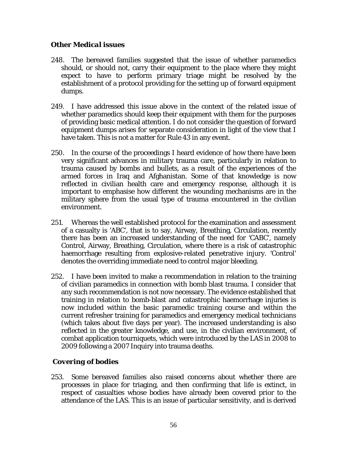#### *Other Medical issues*

- 248. The bereaved families suggested that the issue of whether paramedics should, or should not, carry their equipment to the place where they might expect to have to perform primary triage might be resolved by the establishment of a protocol providing for the setting up of forward equipment dumps.
- 249. I have addressed this issue above in the context of the related issue of whether paramedics should keep their equipment with them for the purposes of providing basic medical attention. I do not consider the question of forward equipment dumps arises for separate consideration in light of the view that I have taken. This is not a matter for Rule 43 in any event.
- 250. In the course of the proceedings I heard evidence of how there have been very significant advances in military trauma care, particularly in relation to trauma caused by bombs and bullets, as a result of the experiences of the armed forces in Iraq and Afghanistan. Some of that knowledge is now reflected in civilian health care and emergency response, although it is important to emphasise how different the wounding mechanisms are in the military sphere from the usual type of trauma encountered in the civilian environment.
- 251. Whereas the well established protocol for the examination and assessment of a casualty is 'ABC', that is to say, Airway, Breathing, Circulation, recently there has been an increased understanding of the need for 'CABC', namely Control, Airway, Breathing, Circulation, where there is a risk of catastrophic haemorrhage resulting from explosive-related penetrative injury. 'Control' denotes the overriding immediate need to control major bleeding.
- 252. I have been invited to make a recommendation in relation to the training of civilian paramedics in connection with bomb blast trauma. I consider that any such recommendation is not now necessary. The evidence established that training in relation to bomb-blast and catastrophic haemorrhage injuries is now included within the basic paramedic training course and within the current refresher training for paramedics and emergency medical technicians (which takes about five days per year). The increased understanding is also reflected in the greater knowledge, and use, in the civilian environment, of combat application tourniquets, which were introduced by the LAS in 2008 to 2009 following a 2007 Inquiry into trauma deaths.

### *Covering of bodies*

253. Some bereaved families also raised concerns about whether there are processes in place for triaging, and then confirming that life is extinct, in respect of casualties whose bodies have already been covered prior to the attendance of the LAS. This is an issue of particular sensitivity, and is derived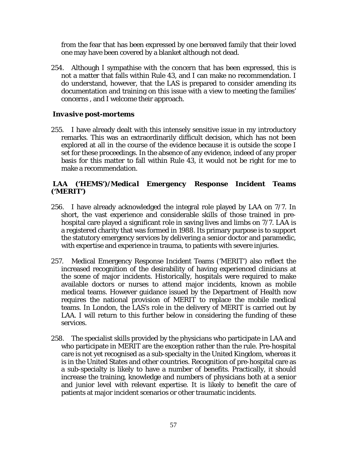from the fear that has been expressed by one bereaved family that their loved one may have been covered by a blanket although not dead.

254. Although I sympathise with the concern that has been expressed, this is not a matter that falls within Rule 43, and I can make no recommendation. I do understand, however, that the LAS is prepared to consider amending its documentation and training on this issue with a view to meeting the families' concerns , and I welcome their approach.

#### *Invasive post-mortems*

255. I have already dealt with this intensely sensitive issue in my introductory remarks. This was an extraordinarily difficult decision, which has not been explored at all in the course of the evidence because it is outside the scope I set for these proceedings. In the absence of any evidence, indeed of any proper basis for this matter to fall within Rule 43, it would not be right for me to make a recommendation.

#### *LAA ('HEMS')/Medical Emergency Response Incident Teams ('MERIT')*

- 256. I have already acknowledged the integral role played by LAA on 7/7. In short, the vast experience and considerable skills of those trained in prehospital care played a significant role in saving lives and limbs on 7/7. LAA is a registered charity that was formed in 1988. Its primary purpose is to support the statutory emergency services by delivering a senior doctor and paramedic, with expertise and experience in trauma, to patients with severe injuries.
- 257. Medical Emergency Response Incident Teams ('MERIT') also reflect the increased recognition of the desirability of having experienced clinicians at the scene of major incidents. Historically, hospitals were required to make available doctors or nurses to attend major incidents, known as mobile medical teams. However guidance issued by the Department of Health now requires the national provision of MERIT to replace the mobile medical teams. In London, the LAS's role in the delivery of MERIT is carried out by LAA. I will return to this further below in considering the funding of these services.
- 258. The specialist skills provided by the physicians who participate in LAA and who participate in MERIT are the exception rather than the rule. Pre-hospital care is not yet recognised as a sub-specialty in the United Kingdom, whereas it is in the United States and other countries. Recognition of pre-hospital care as a sub-specialty is likely to have a number of benefits. Practically, it should increase the training, knowledge and numbers of physicians both at a senior and junior level with relevant expertise. It is likely to benefit the care of patients at major incident scenarios or other traumatic incidents.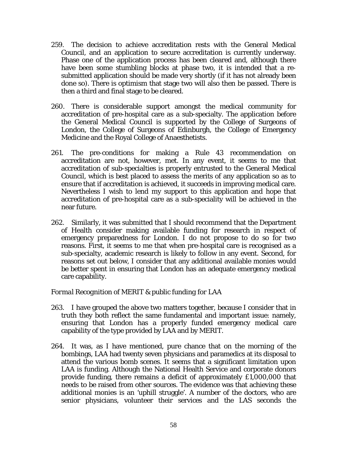- 259. The decision to achieve accreditation rests with the General Medical Council, and an application to secure accreditation is currently underway. Phase one of the application process has been cleared and, although there have been some stumbling blocks at phase two, it is intended that a resubmitted application should be made very shortly (if it has not already been done so). There is optimism that stage two will also then be passed. There is then a third and final stage to be cleared.
- 260. There is considerable support amongst the medical community for accreditation of pre-hospital care as a sub-specialty. The application before the General Medical Council is supported by the College of Surgeons of London, the College of Surgeons of Edinburgh, the College of Emergency Medicine and the Royal College of Anaesthetists.
- 261. The pre-conditions for making a Rule 43 recommendation on accreditation are not, however, met. In any event, it seems to me that accreditation of sub-specialties is properly entrusted to the General Medical Council, which is best placed to assess the merits of any application so as to ensure that if accreditation is achieved, it succeeds in improving medical care. Nevertheless I wish to lend my support to this application and hope that accreditation of pre-hospital care as a sub-speciality will be achieved in the near future.
- 262. Similarly, it was submitted that I should recommend that the Department of Health consider making available funding for research in respect of emergency preparedness for London. I do not propose to do so for two reasons. First, it seems to me that when pre-hospital care is recognised as a sub-specialty, academic research is likely to follow in any event. Second, for reasons set out below, I consider that any additional available monies would be better spent in ensuring that London has an adequate emergency medical care capability.

#### *Formal Recognition of MERIT & public funding for LAA*

- 263. I have grouped the above two matters together, because I consider that in truth they both reflect the same fundamental and important issue: namely, ensuring that London has a properly funded emergency medical care capability of the type provided by LAA and by MERIT.
- 264. It was, as I have mentioned, pure chance that on the morning of the bombings, LAA had twenty seven physicians and paramedics at its disposal to attend the various bomb scenes. It seems that a significant limitation upon LAA is funding. Although the National Health Service and corporate donors provide funding, there remains a deficit of approximately £1,000,000 that needs to be raised from other sources. The evidence was that achieving these additional monies is an 'uphill struggle'. A number of the doctors, who are senior physicians, volunteer their services and the LAS seconds the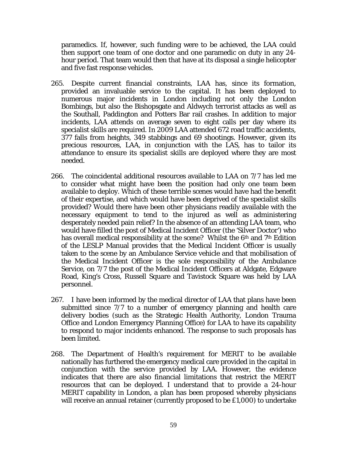paramedics. If, however, such funding were to be achieved, the LAA could then support one team of one doctor and one paramedic on duty in any 24 hour period. That team would then that have at its disposal a single helicopter and five fast response vehicles.

- 265. Despite current financial constraints, LAA has, since its formation, provided an invaluable service to the capital. It has been deployed to numerous major incidents in London including not only the London Bombings, but also the Bishopsgate and Aldwych terrorist attacks as well as the Southall, Paddington and Potters Bar rail crashes. In addition to major incidents, LAA attends on average seven to eight calls per day where its specialist skills are required. In 2009 LAA attended 672 road traffic accidents, 377 falls from heights, 349 stabbings and 69 shootings. However, given its precious resources, LAA, in conjunction with the LAS, has to tailor its attendance to ensure its specialist skills are deployed where they are most needed.
- 266. The coincidental additional resources available to LAA on 7/7 has led me to consider what might have been the position had only one team been available to deploy. Which of these terrible scenes would have had the benefit of their expertise, and which would have been deprived of the specialist skills provided? Would there have been other physicians readily available with the necessary equipment to tend to the injured as well as administering desperately needed pain relief? In the absence of an attending LAA team, who would have filled the post of Medical Incident Officer (the 'Silver Doctor') who has overall medical responsibility at the scene? Whilst the 6<sup>th</sup> and 7<sup>th</sup> Edition of the LESLP Manual provides that the Medical Incident Officer is usually taken to the scene by an Ambulance Service vehicle and that mobilisation of the Medical Incident Officer is the sole responsibility of the Ambulance Service, on 7/7 the post of the Medical Incident Officers at Aldgate, Edgware Road, King's Cross, Russell Square and Tavistock Square was held by LAA personnel.
- 267. I have been informed by the medical director of LAA that plans have been submitted since 7/7 to a number of emergency planning and health care delivery bodies (such as the Strategic Health Authority, London Trauma Office and London Emergency Planning Office) for LAA to have its capability to respond to major incidents enhanced. The response to such proposals has been limited.
- 268. The Department of Health's requirement for MERIT to be available nationally has furthered the emergency medical care provided in the capital in conjunction with the service provided by LAA. However, the evidence indicates that there are also financial limitations that restrict the MERIT resources that can be deployed. I understand that to provide a 24-hour MERIT capability in London, a plan has been proposed whereby physicians will receive an annual retainer (currently proposed to be £1,000) to undertake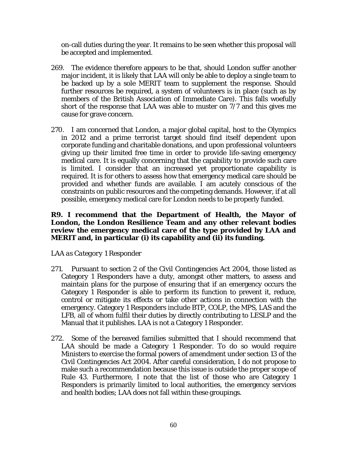on-call duties during the year. It remains to be seen whether this proposal will be accepted and implemented.

- 269. The evidence therefore appears to be that, should London suffer another major incident, it is likely that LAA will only be able to deploy a single team to be backed up by a sole MERIT team to supplement the response. Should further resources be required, a system of volunteers is in place (such as by members of the British Association of Immediate Care). This falls woefully short of the response that LAA was able to muster on 7/7 and this gives me cause for grave concern.
- 270. I am concerned that London, a major global capital, host to the Olympics in 2012 and a prime terrorist target should find itself dependent upon corporate funding and charitable donations, and upon professional volunteers giving up their limited free time in order to provide life-saving emergency medical care. It is equally concerning that the capability to provide such care is limited. I consider that an increased yet proportionate capability is required. It is for others to assess how that emergency medical care should be provided and whether funds are available. I am acutely conscious of the constraints on public resources and the competing demands. However, if at all possible, emergency medical care for London needs to be properly funded.

#### **R9. I recommend that the Department of Health, the Mayor of London, the London Resilience Team and any other relevant bodies review the emergency medical care of the type provided by LAA and MERIT and, in particular (i) its capability and (ii) its funding.**

#### *LAA as Category 1 Responder*

- 271. Pursuant to section 2 of the Civil Contingencies Act 2004, those listed as Category 1 Responders have a duty, amongst other matters, to assess and maintain plans for the purpose of ensuring that if an emergency occurs the Category 1 Responder is able to perform its function to prevent it, reduce, control or mitigate its effects or take other actions in connection with the emergency. Category 1 Responders include BTP, COLP, the MPS, LAS and the LFB, all of whom fulfil their duties by directly contributing to LESLP and the Manual that it publishes. LAA is not a Category 1 Responder.
- 272. Some of the bereaved families submitted that I should recommend that LAA should be made a Category 1 Responder. To do so would require Ministers to exercise the formal powers of amendment under section 13 of the Civil Contingencies Act 2004. After careful consideration, I do not propose to make such a recommendation because this issue is outside the proper scope of Rule 43. Furthermore, I note that the list of those who are Category 1 Responders is primarily limited to local authorities, the emergency services and health bodies; LAA does not fall within these groupings.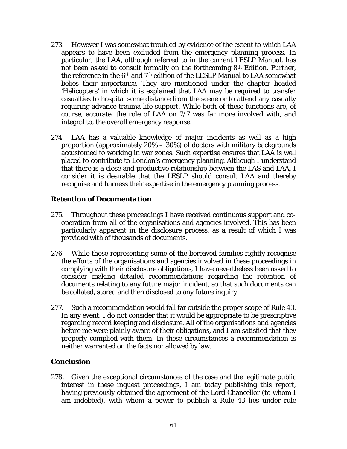- 273. However I was somewhat troubled by evidence of the extent to which LAA appears to have been excluded from the emergency planning process. In particular, the LAA, although referred to in the current LESLP Manual, has not been asked to consult formally on the forthcoming 8th Edition. Further, the reference in the  $6<sup>th</sup>$  and  $7<sup>th</sup>$  edition of the LESLP Manual to LAA somewhat belies their importance. They are mentioned under the chapter headed 'Helicopters' in which it is explained that LAA may be required to transfer casualties to hospital some distance from the scene or to attend any casualty requiring advance trauma life support. While both of these functions are, of course, accurate, the role of LAA on 7/7 was far more involved with, and integral to, the overall emergency response.
- 274. LAA has a valuable knowledge of major incidents as well as a high proportion (approximately 20% – 30%) of doctors with military backgrounds accustomed to working in war zones. Such expertise ensures that LAA is well placed to contribute to London's emergency planning. Although I understand that there is a close and productive relationship between the LAS and LAA, I consider it is desirable that the LESLP should consult LAA and thereby recognise and harness their expertise in the emergency planning process.

### *Retention of Documentation*

- 275. Throughout these proceedings I have received continuous support and cooperation from all of the organisations and agencies involved. This has been particularly apparent in the disclosure process, as a result of which I was provided with of thousands of documents.
- 276. While those representing some of the bereaved families rightly recognise the efforts of the organisations and agencies involved in these proceedings in complying with their disclosure obligations, I have nevertheless been asked to consider making detailed recommendations regarding the retention of documents relating to any future major incident, so that such documents can be collated, stored and then disclosed to any future inquiry.
- 277. Such a recommendation would fall far outside the proper scope of Rule 43. In any event, I do not consider that it would be appropriate to be prescriptive regarding record keeping and disclosure. All of the organisations and agencies before me were plainly aware of their obligations, and I am satisfied that they properly complied with them. In these circumstances a recommendation is neither warranted on the facts nor allowed by law.

### **Conclusion**

278. Given the exceptional circumstances of the case and the legitimate public interest in these inquest proceedings, I am today publishing this report, having previously obtained the agreement of the Lord Chancellor (to whom I am indebted), with whom a power to publish a Rule 43 lies under rule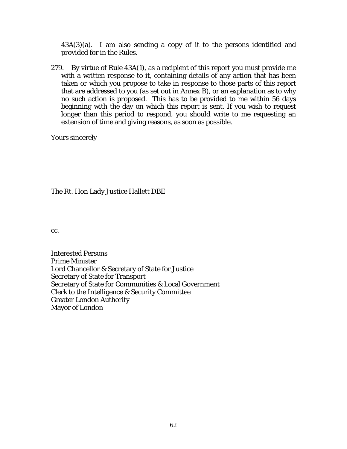$43A(3)(a)$ . I am also sending a copy of it to the persons identified and provided for in the Rules.

279. By virtue of Rule  $43A(1)$ , as a recipient of this report you must provide me with a written response to it, containing details of any action that has been taken or which you propose to take in response to those parts of this report that are addressed to you (as set out in Annex B), or an explanation as to why no such action is proposed. This has to be provided to me within 56 days beginning with the day on which this report is sent. If you wish to request longer than this period to respond, you should write to me requesting an extension of time and giving reasons, as soon as possible.

Yours sincerely

The Rt. Hon Lady Justice Hallett DBE

cc.

Interested Persons Prime Minister Lord Chancellor & Secretary of State for Justice Secretary of State for Transport Secretary of State for Communities & Local Government Clerk to the Intelligence & Security Committee Greater London Authority Mayor of London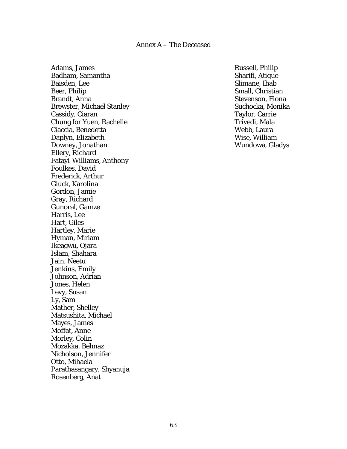#### Annex A – The Deceased

 Badham, Samantha Sharifi, Atique Baisden, Lee Beer. Philip **Brandt, Anna**  Ciaccia, Benedetta Webb, Laura Daplyn, Elizabeth Wise, William Downey, Jonathan Wundowa, Gladys Adams, James Russell, Philip Brewster, Michael Stanley Suchocka, Monika Cassidy, Ciaran Taylor, Carrie Chung for Yuen, Rachelle Trivedi, Mala Ellery, Richard Fatayi-Williams, Anthony Foulkes, David Frederick, Arthur Gluck, Karolina Gordon, Jamie Gray, Richard Gunoral, Gamze Harris, Lee Hart, Giles Hartley, Marie Hyman, Miriam Ikeagwu, Ojara Islam, Shahara Jain, Neetu Jenkins, Emily Johnson, Adrian Jones, Helen Levy, Susan Ly, Sam Mather, Shelley Matsushita, Michael Mayes, James Moffat, Anne Morley, Colin Mozakka, Behnaz Nicholson, Jennifer Otto, Mihaela Parathasangary, Shyanuja Rosenberg, Anat

Slimane, Ihab Small, Christian Stevenson, Fiona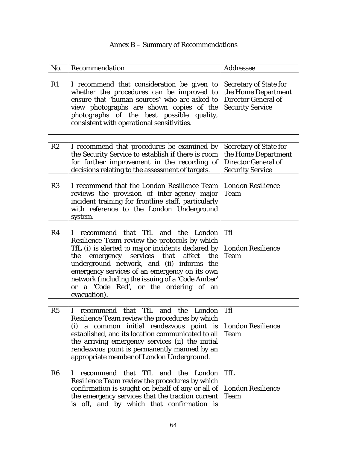## Annex B – Summary of Recommendations

| No.            | Recommendation                                                                                                                                                                                                                                                                                                                                                                                              | Addressee                                                                                                     |
|----------------|-------------------------------------------------------------------------------------------------------------------------------------------------------------------------------------------------------------------------------------------------------------------------------------------------------------------------------------------------------------------------------------------------------------|---------------------------------------------------------------------------------------------------------------|
| R <sub>1</sub> | I recommend that consideration be given to<br>whether the procedures can be improved to<br>ensure that "human sources" who are asked to<br>view photographs are shown copies of the<br>photographs of the best possible quality,<br>consistent with operational sensitivities.                                                                                                                              | <b>Secretary of State for</b><br>the Home Department<br><b>Director General of</b><br><b>Security Service</b> |
| R <sub>2</sub> | I recommend that procedures be examined by<br>the Security Service to establish if there is room<br>for further improvement in the recording of<br>decisions relating to the assessment of targets.                                                                                                                                                                                                         | <b>Secretary of State for</b><br>the Home Department<br><b>Director General of</b><br><b>Security Service</b> |
| R3             | I recommend that the London Resilience Team<br>reviews the provision of inter-agency major<br>incident training for frontline staff, particularly<br>with reference to the London Underground<br>system.                                                                                                                                                                                                    | <b>London Resilience</b><br><b>Team</b>                                                                       |
| R <sub>4</sub> | I recommend that TfL and<br>the<br>London<br>Resilience Team review the protocols by which<br>TfL (i) is alerted to major incidents declared by<br>emergency services that affect<br>the<br>the<br>underground network, and (ii) informs the<br>emergency services of an emergency on its own<br>network (including the issuing of a 'Code Amber'<br>or a 'Code Red', or the ordering of an<br>evacuation). | <b>Tfl</b><br><b>London Resilience</b><br>Team                                                                |
| R <sub>5</sub> | recommend that TfL and the London<br>I<br>Resilience Team review the procedures by which<br>a common initial rendezvous point is<br>(i)<br>established, and its location communicated to all<br>the arriving emergency services (ii) the initial<br>rendezvous point is permanently manned by an<br>appropriate member of London Underground.                                                               | Tfl<br><b>London Resilience</b><br>Team                                                                       |
| R <sub>6</sub> | London<br>that TfL<br>and<br>the<br>recommend<br>I<br>Resilience Team review the procedures by which<br>confirmation is sought on behalf of any or all of<br>the emergency services that the traction current<br>is off, and by which that confirmation is                                                                                                                                                  | <b>TfL</b><br><b>London Resilience</b><br>Team                                                                |